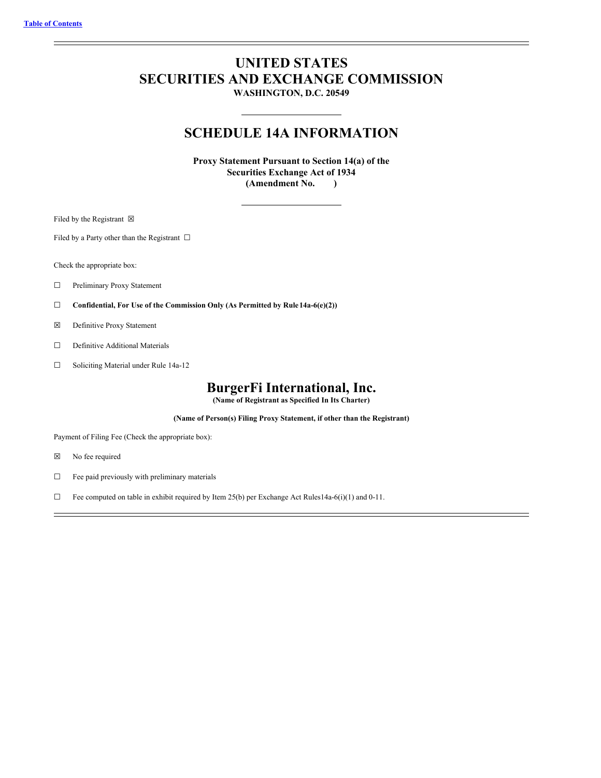# **UNITED STATES SECURITIES AND EXCHANGE COMMISSION**

**WASHINGTON, D.C. 20549**

## **SCHEDULE 14A INFORMATION**

**Proxy Statement Pursuant to Section 14(a) of the Securities Exchange Act of 1934 (Amendment No. )**

Filed by the Registrant  $\boxtimes$ 

Filed by a Party other than the Registrant  $\ \Box$ 

Check the appropriate box:

- ☐ Preliminary Proxy Statement
- ☐ **Confidential, For Use of the Commission Only (As Permitted by Rule14a-6(e)(2))**
- ☒ Definitive Proxy Statement
- □ Definitive Additional Materials
- ☐ Soliciting Material under Rule 14a-12

## **BurgerFi International, Inc.**

**(Name of Registrant as Specified In Its Charter)**

**(Name of Person(s) Filing Proxy Statement, if other than the Registrant)**

Payment of Filing Fee (Check the appropriate box):

- ☒ No fee required
- ☐ Fee paid previously with preliminary materials
- ☐ Fee computed on table in exhibit required by Item 25(b) per Exchange Act Rules14a-6(i)(1) and 0-11.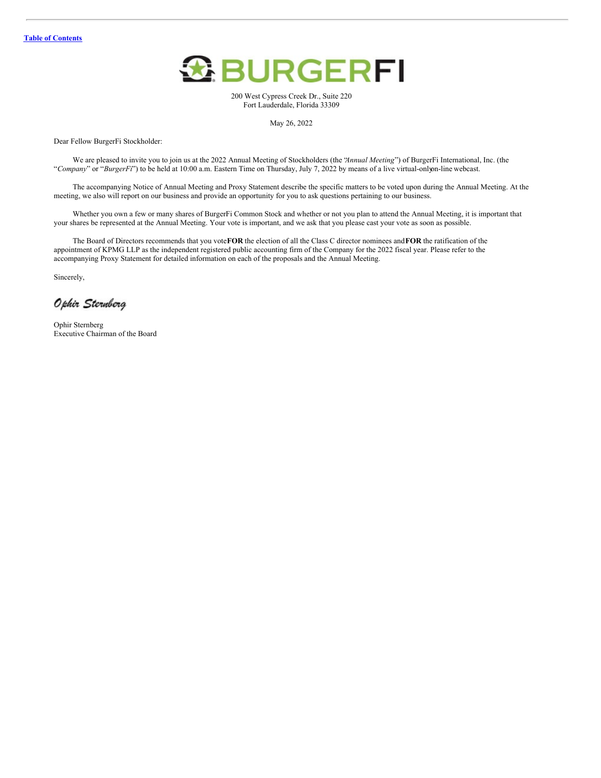

200 West Cypress Creek Dr., Suite 220 Fort Lauderdale, Florida 33309

May 26, 2022

Dear Fellow BurgerFi Stockholder:

We are pleased to invite you to join us at the 2022 Annual Meeting of Stockholders (the "*Annual Meeting*") of BurgerFi International, Inc. (the "*Company*" or "*BurgerFi*") to be held at 10:00 a.m. Eastern Time on Thursday, July 7, 2022 by means of a live virtual-onlyon-line webcast.

The accompanying Notice of Annual Meeting and Proxy Statement describe the specific matters to be voted upon during the Annual Meeting. At the meeting, we also will report on our business and provide an opportunity for you to ask questions pertaining to our business.

Whether you own a few or many shares of BurgerFi Common Stock and whether or not you plan to attend the Annual Meeting, it is important that your shares be represented at the Annual Meeting. Your vote is important, and we ask that you please cast your vote as soon as possible.

The Board of Directors recommends that you vote**FOR** the election of all the Class C director nominees and**FOR** the ratification of the appointment of KPMG LLP as the independent registered public accounting firm of the Company for the 2022 fiscal year. Please refer to the accompanying Proxy Statement for detailed information on each of the proposals and the Annual Meeting.

Sincerely,

Ophir Sternberg

Ophir Sternberg Executive Chairman of the Board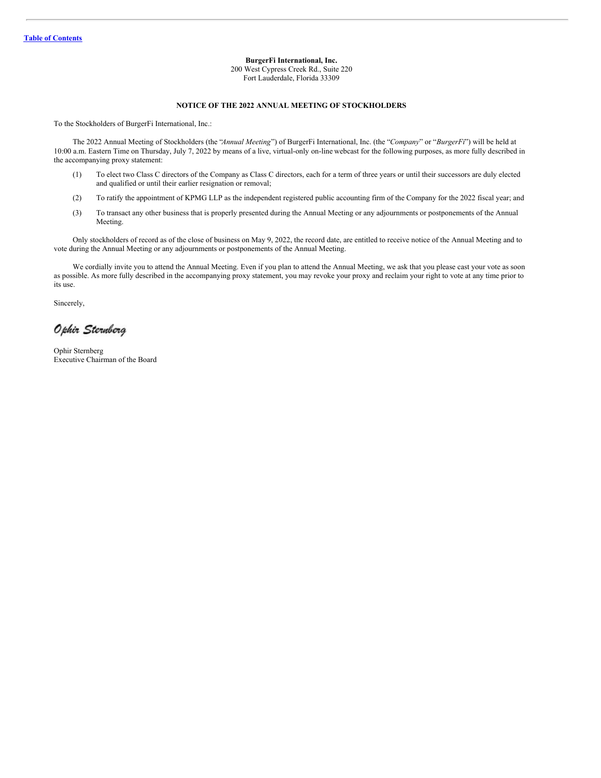## **BurgerFi International, Inc.**

200 West Cypress Creek Rd., Suite 220 Fort Lauderdale, Florida 33309

#### **NOTICE OF THE 2022 ANNUAL MEETING OF STOCKHOLDERS**

To the Stockholders of BurgerFi International, Inc.:

The 2022 Annual Meeting of Stockholders (the "*Annual Meeting*") of BurgerFi International, Inc. (the "*Company*" or "*BurgerFi*") will be held at 10:00 a.m. Eastern Time on Thursday, July 7, 2022 by means of a live, virtual-only on-line webcast for the following purposes, as more fully described in the accompanying proxy statement:

- (1) To elect two Class C directors of the Company as Class C directors, each for a term of three years or until their successors are duly elected and qualified or until their earlier resignation or removal;
- (2) To ratify the appointment of KPMG LLP as the independent registered public accounting firm of the Company for the 2022 fiscal year; and
- (3) To transact any other business that is properly presented during the Annual Meeting or any adjournments or postponements of the Annual Meeting.

Only stockholders of record as of the close of business on May 9, 2022, the record date, are entitled to receive notice of the Annual Meeting and to vote during the Annual Meeting or any adjournments or postponements of the Annual Meeting.

We cordially invite you to attend the Annual Meeting. Even if you plan to attend the Annual Meeting, we ask that you please cast your vote as soon as possible. As more fully described in the accompanying proxy statement, you may revoke your proxy and reclaim your right to vote at any time prior to its use.

Sincerely,

Ophir Sternberg

Ophir Sternberg Executive Chairman of the Board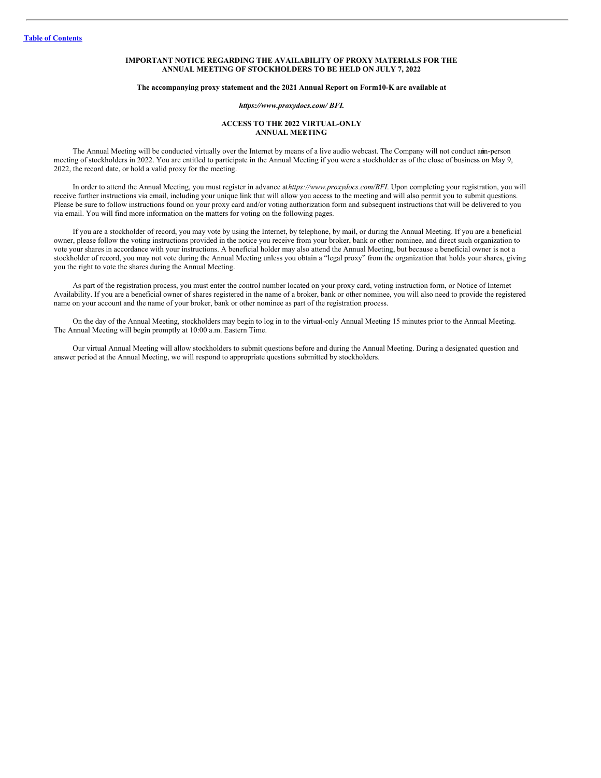## **IMPORTANT NOTICE REGARDING THE AVAILABILITY OF PROXY MATERIALS FOR THE ANNUAL MEETING OF STOCKHOLDERS TO BE HELD ON JULY 7, 2022**

#### **The accompanying proxy statement and the 2021 Annual Report on Form10-K are available at**

#### *https://www.proxydocs.com/ BFI***.**

## **ACCESS TO THE 2022 VIRTUAL-ONLY ANNUAL MEETING**

The Annual Meeting will be conducted virtually over the Internet by means of a live audio webcast. The Company will not conduct anin-person meeting of stockholders in 2022. You are entitled to participate in the Annual Meeting if you were a stockholder as of the close of business on May 9, 2022, the record date, or hold a valid proxy for the meeting.

In order to attend the Annual Meeting, you must register in advance at*https://www.proxydocs.com/BFI*. Upon completing your registration, you will receive further instructions via email, including your unique link that will allow you access to the meeting and will also permit you to submit questions. Please be sure to follow instructions found on your proxy card and/or voting authorization form and subsequent instructions that will be delivered to you via email. You will find more information on the matters for voting on the following pages.

If you are a stockholder of record, you may vote by using the Internet, by telephone, by mail, or during the Annual Meeting. If you are a beneficial owner, please follow the voting instructions provided in the notice you receive from your broker, bank or other nominee, and direct such organization to vote your shares in accordance with your instructions. A beneficial holder may also attend the Annual Meeting, but because a beneficial owner is not a stockholder of record, you may not vote during the Annual Meeting unless you obtain a "legal proxy" from the organization that holds your shares, giving you the right to vote the shares during the Annual Meeting.

As part of the registration process, you must enter the control number located on your proxy card, voting instruction form, or Notice of Internet Availability. If you are a beneficial owner of shares registered in the name of a broker, bank or other nominee, you will also need to provide the registered name on your account and the name of your broker, bank or other nominee as part of the registration process.

On the day of the Annual Meeting, stockholders may begin to log in to the virtual-only Annual Meeting 15 minutes prior to the Annual Meeting. The Annual Meeting will begin promptly at 10:00 a.m. Eastern Time.

Our virtual Annual Meeting will allow stockholders to submit questions before and during the Annual Meeting. During a designated question and answer period at the Annual Meeting, we will respond to appropriate questions submitted by stockholders.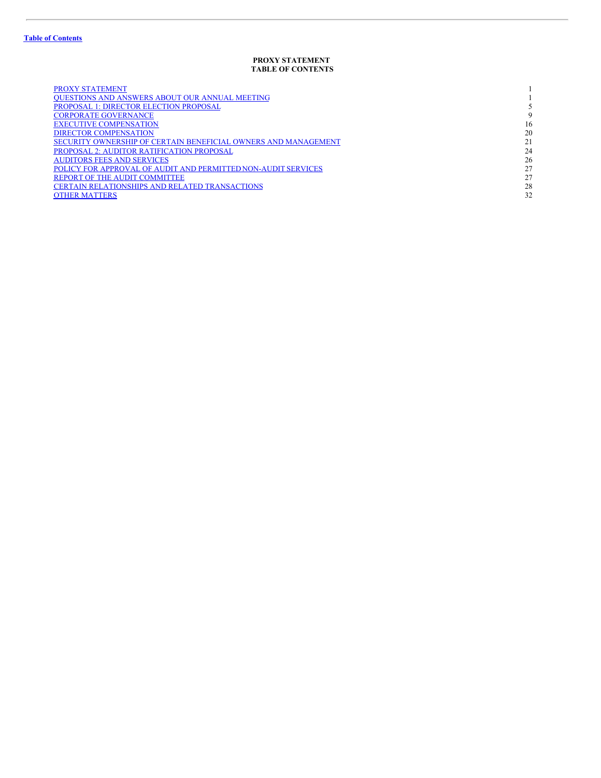## <span id="page-4-0"></span>**PROXY STATEMENT TABLE OF CONTENTS**

| <b>PROXY STATEMENT</b>                                         |    |
|----------------------------------------------------------------|----|
| <b>OUESTIONS AND ANSWERS ABOUT OUR ANNUAL MEETING</b>          |    |
| PROPOSAL 1: DIRECTOR ELECTION PROPOSAL                         |    |
| <b>CORPORATE GOVERNANCE</b>                                    | 9  |
| <b>EXECUTIVE COMPENSATION</b>                                  | 16 |
| <b>DIRECTOR COMPENSATION</b>                                   | 20 |
| SECURITY OWNERSHIP OF CERTAIN BENEFICIAL OWNERS AND MANAGEMENT | 21 |
| PROPOSAL 2: AUDITOR RATIFICATION PROPOSAL                      | 24 |
| <b>AUDITORS FEES AND SERVICES</b>                              | 26 |
| POLICY FOR APPROVAL OF AUDIT AND PERMITTED NON-AUDIT SERVICES  | 27 |
| REPORT OF THE AUDIT COMMITTEE                                  | 27 |
| <b>CERTAIN RELATIONSHIPS AND RELATED TRANSACTIONS</b>          | 28 |
| <b>OTHER MATTERS</b>                                           | 32 |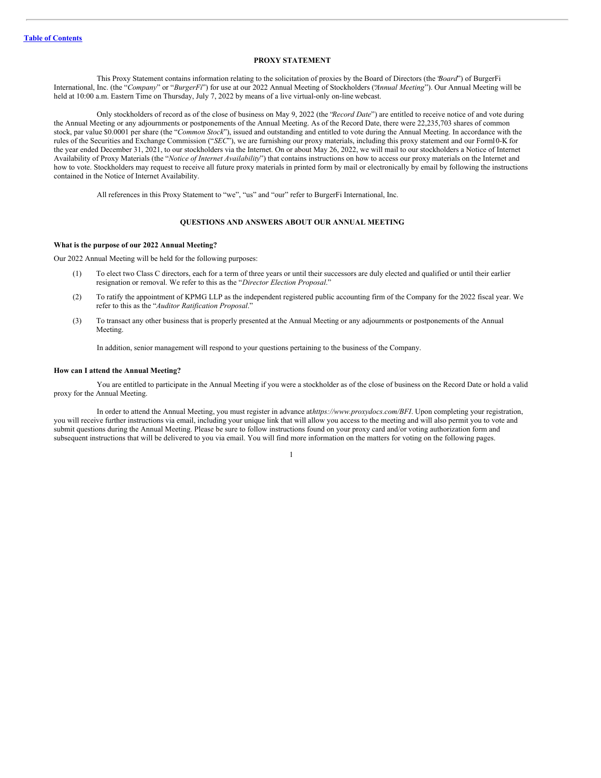## <span id="page-5-0"></span>**PROXY STATEMENT**

This Proxy Statement contains information relating to the solicitation of proxies by the Board of Directors (the "*Board*") of BurgerFi International, Inc. (the "*Company*" or "*BurgerFi*") for use at our 2022 Annual Meeting of Stockholders ("*Annual Meeting*"). Our Annual Meeting will be held at 10:00 a.m. Eastern Time on Thursday, July 7, 2022 by means of a live virtual-only on-line webcast.

Only stockholders of record as of the close of business on May 9, 2022 (the "*Record Date*") are entitled to receive notice of and vote during the Annual Meeting or any adjournments or postponements of the Annual Meeting. As of the Record Date, there were 22,235,703 shares of common stock, par value \$0.0001 per share (the "*Common Stock*"), issued and outstanding and entitled to vote during the Annual Meeting. In accordance with the rules of the Securities and Exchange Commission ("*SEC*"), we are furnishing our proxy materials, including this proxy statement and our Form10-K for the year ended December 31, 2021, to our stockholders via the Internet. On or about May 26, 2022, we will mail to our stockholders a Notice of Internet Availability of Proxy Materials (the "*Notice of Internet Availability*") that contains instructions on how to access our proxy materials on the Internet and how to vote. Stockholders may request to receive all future proxy materials in printed form by mail or electronically by email by following the instructions contained in the Notice of Internet Availability.

All references in this Proxy Statement to "we", "us" and "our" refer to BurgerFi International, Inc.

#### <span id="page-5-1"></span>**QUESTIONS AND ANSWERS ABOUT OUR ANNUAL MEETING**

#### **What is the purpose of our 2022 Annual Meeting?**

Our 2022 Annual Meeting will be held for the following purposes:

- (1) To elect two Class C directors, each for a term of three years or until their successors are duly elected and qualified or until their earlier resignation or removal. We refer to this as the "*Director Election Proposal*."
- (2) To ratify the appointment of KPMG LLP as the independent registered public accounting firm of the Company for the 2022 fiscal year. We refer to this as the "*Auditor Ratification Proposal*."
- (3) To transact any other business that is properly presented at the Annual Meeting or any adjournments or postponements of the Annual Meeting.

In addition, senior management will respond to your questions pertaining to the business of the Company.

## **How can I attend the Annual Meeting?**

You are entitled to participate in the Annual Meeting if you were a stockholder as of the close of business on the Record Date or hold a valid proxy for the Annual Meeting.

In order to attend the Annual Meeting, you must register in advance at*https://www.proxydocs.com/BFI*. Upon completing your registration, you will receive further instructions via email, including your unique link that will allow you access to the meeting and will also permit you to vote and submit questions during the Annual Meeting. Please be sure to follow instructions found on your proxy card and/or voting authorization form and subsequent instructions that will be delivered to you via email. You will find more information on the matters for voting on the following pages.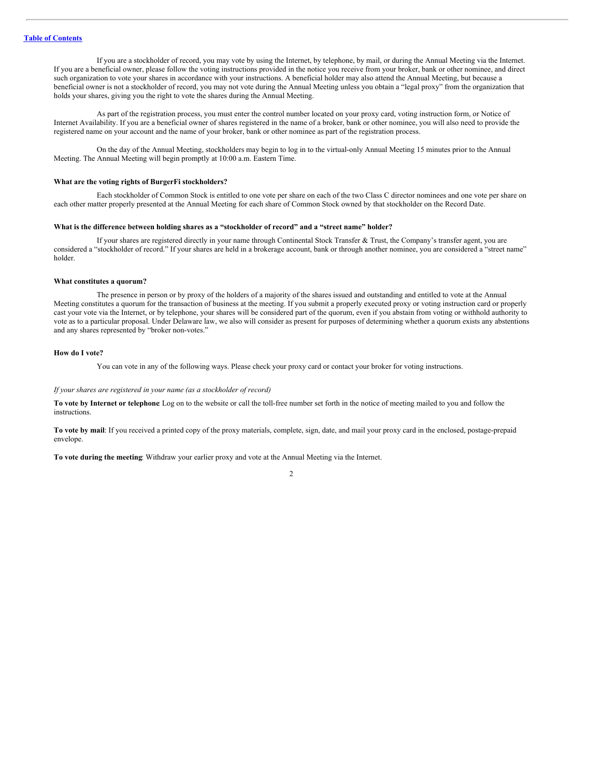If you are a stockholder of record, you may vote by using the Internet, by telephone, by mail, or during the Annual Meeting via the Internet. If you are a beneficial owner, please follow the voting instructions provided in the notice you receive from your broker, bank or other nominee, and direct such organization to vote your shares in accordance with your instructions. A beneficial holder may also attend the Annual Meeting, but because a beneficial owner is not a stockholder of record, you may not vote during the Annual Meeting unless you obtain a "legal proxy" from the organization that holds your shares, giving you the right to vote the shares during the Annual Meeting.

As part of the registration process, you must enter the control number located on your proxy card, voting instruction form, or Notice of Internet Availability. If you are a beneficial owner of shares registered in the name of a broker, bank or other nominee, you will also need to provide the registered name on your account and the name of your broker, bank or other nominee as part of the registration process.

On the day of the Annual Meeting, stockholders may begin to log in to the virtual-only Annual Meeting 15 minutes prior to the Annual Meeting. The Annual Meeting will begin promptly at 10:00 a.m. Eastern Time.

#### **What are the voting rights of BurgerFi stockholders?**

Each stockholder of Common Stock is entitled to one vote per share on each of the two Class C director nominees and one vote per share on each other matter properly presented at the Annual Meeting for each share of Common Stock owned by that stockholder on the Record Date.

## **What is the difference between holding shares as a "stockholder of record" and a "street name" holder?**

If your shares are registered directly in your name through Continental Stock Transfer & Trust, the Company's transfer agent, you are considered a "stockholder of record." If your shares are held in a brokerage account, bank or through another nominee, you are considered a "street name" holder.

#### **What constitutes a quorum?**

The presence in person or by proxy of the holders of a majority of the shares issued and outstanding and entitled to vote at the Annual Meeting constitutes a quorum for the transaction of business at the meeting. If you submit a properly executed proxy or voting instruction card or properly cast your vote via the Internet, or by telephone, your shares will be considered part of the quorum, even if you abstain from voting or withhold authority to vote as to a particular proposal. Under Delaware law, we also will consider as present for purposes of determining whether a quorum exists any abstentions and any shares represented by "broker non-votes."

#### **How do I vote?**

You can vote in any of the following ways. Please check your proxy card or contact your broker for voting instructions.

## *If your shares are registered in your name (as a stockholder of record)*

**To vote by Internet or telephone**: Log on to the website or call the toll-free number set forth in the notice of meeting mailed to you and follow the instructions.

**To vote by mail**: If you received a printed copy of the proxy materials, complete, sign, date, and mail your proxy card in the enclosed, postage-prepaid envelope.

**To vote during the meeting**: Withdraw your earlier proxy and vote at the Annual Meeting via the Internet.

 $\overline{2}$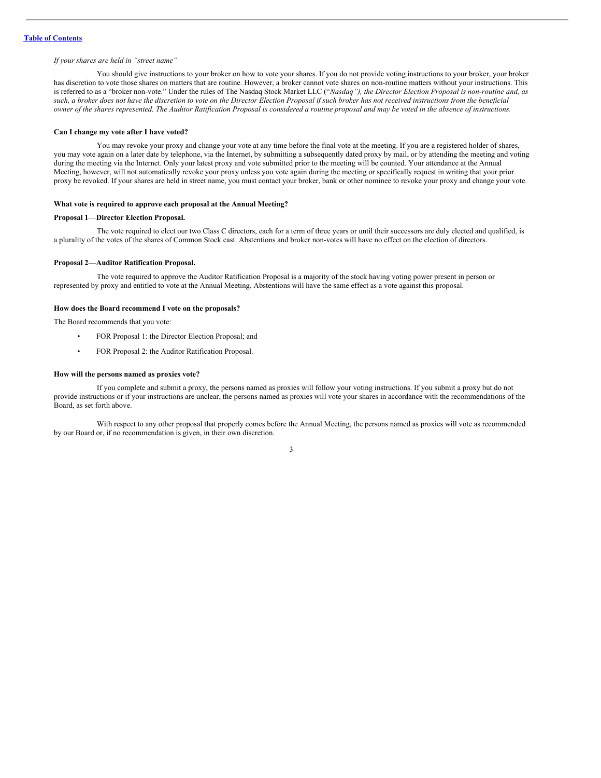## *If your shares are held in "street name"*

You should give instructions to your broker on how to vote your shares. If you do not provide voting instructions to your broker, your broker has discretion to vote those shares on matters that are routine. However, a broker cannot vote shares on non-routine matters without your instructions. This is referred to as a "broker non-vote." Under the rules of The Nasdaq Stock Market LLC ("*Nasdaq"), the Director Election Proposal is non-routine and, as* such, a broker does not have the discretion to vote on the Director Election Proposal if such broker has not received instructions from the beneficial owner of the shares represented. The Auditor Ratification Proposal is considered a routine proposal and may be voted in the absence of instructions.

#### **Can I change my vote after I have voted?**

You may revoke your proxy and change your vote at any time before the final vote at the meeting. If you are a registered holder of shares, you may vote again on a later date by telephone, via the Internet, by submitting a subsequently dated proxy by mail, or by attending the meeting and voting during the meeting via the Internet. Only your latest proxy and vote submitted prior to the meeting will be counted. Your attendance at the Annual Meeting, however, will not automatically revoke your proxy unless you vote again during the meeting or specifically request in writing that your prior proxy be revoked. If your shares are held in street name, you must contact your broker, bank or other nominee to revoke your proxy and change your vote.

#### **What vote is required to approve each proposal at the Annual Meeting?**

## **Proposal 1—Director Election Proposal.**

The vote required to elect our two Class C directors, each for a term of three years or until their successors are duly elected and qualified, is a plurality of the votes of the shares of Common Stock cast. Abstentions and broker non-votes will have no effect on the election of directors.

#### **Proposal 2—Auditor Ratification Proposal.**

The vote required to approve the Auditor Ratification Proposal is a majority of the stock having voting power present in person or represented by proxy and entitled to vote at the Annual Meeting. Abstentions will have the same effect as a vote against this proposal.

## **How does the Board recommend I vote on the proposals?**

The Board recommends that you vote:

- FOR Proposal 1: the Director Election Proposal; and
- FOR Proposal 2: the Auditor Ratification Proposal.

#### **How will the persons named as proxies vote?**

If you complete and submit a proxy, the persons named as proxies will follow your voting instructions. If you submit a proxy but do not provide instructions or if your instructions are unclear, the persons named as proxies will vote your shares in accordance with the recommendations of the Board, as set forth above.

With respect to any other proposal that properly comes before the Annual Meeting, the persons named as proxies will vote as recommended by our Board or, if no recommendation is given, in their own discretion.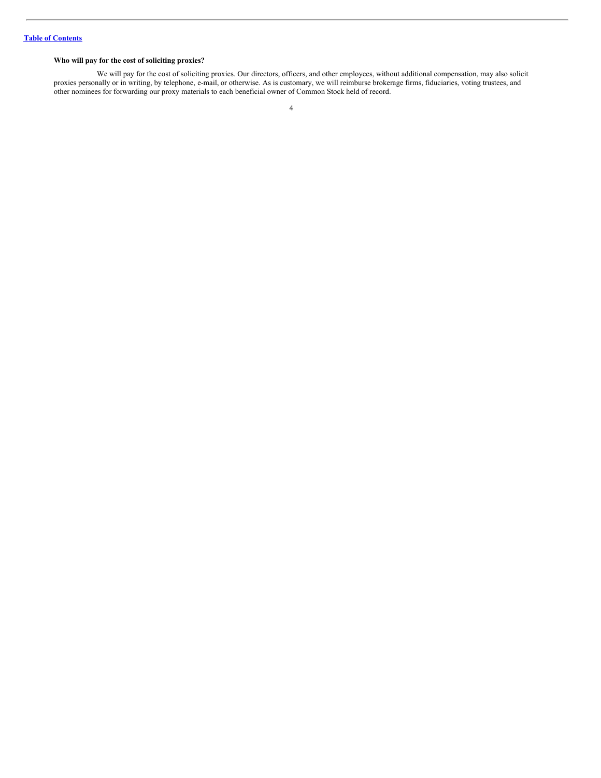## **Who will pay for the cost of soliciting proxies?**

We will pay for the cost of soliciting proxies. Our directors, officers, and other employees, without additional compensation, may also solicit proxies personally or in writing, by telephone, e-mail, or otherwise. As is customary, we will reimburse brokerage firms, fiduciaries, voting trustees, and other nominees for forwarding our proxy materials to each beneficial owner of Common Stock held of record.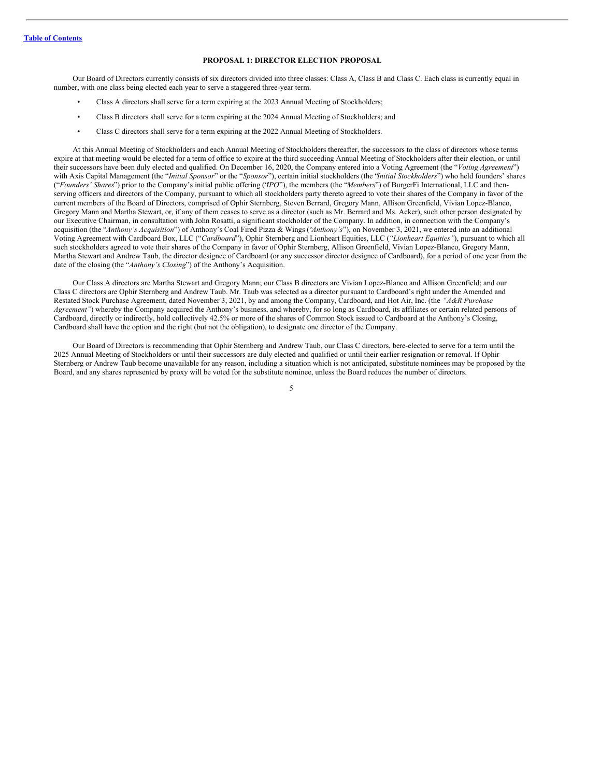## <span id="page-9-0"></span>**PROPOSAL 1: DIRECTOR ELECTION PROPOSAL**

Our Board of Directors currently consists of six directors divided into three classes: Class A, Class B and Class C. Each class is currently equal in number, with one class being elected each year to serve a staggered three-year term.

- Class A directors shall serve for a term expiring at the 2023 Annual Meeting of Stockholders;
- Class B directors shall serve for a term expiring at the 2024 Annual Meeting of Stockholders; and
- Class C directors shall serve for a term expiring at the 2022 Annual Meeting of Stockholders.

At this Annual Meeting of Stockholders and each Annual Meeting of Stockholders thereafter, the successors to the class of directors whose terms expire at that meeting would be elected for a term of office to expire at the third succeeding Annual Meeting of Stockholders after their election, or until their successors have been duly elected and qualified. On December 16, 2020, the Company entered into a Voting Agreement (the "*Voting Agreement*") with Axis Capital Management (the "*Initial Sponsor*" or the "*Sponsor*"), certain initial stockholders (the "*Initial Stockholders*") who held founders' shares ("*Founders' Shares*") prior to the Company's initial public offering ("*IPO*"), the members (the "*Members*") of BurgerFi International, LLC and thenserving officers and directors of the Company, pursuant to which all stockholders party thereto agreed to vote their shares of the Company in favor of the current members of the Board of Directors, comprised of Ophir Sternberg, Steven Berrard, Gregory Mann, Allison Greenfield, Vivian Lopez-Blanco, Gregory Mann and Martha Stewart, or, if any of them ceases to serve as a director (such as Mr. Berrard and Ms. Acker), such other person designated by our Executive Chairman, in consultation with John Rosatti, a significant stockholder of the Company. In addition, in connection with the Company's acquisition (the "*Anthony's Acquisition*") of Anthony's Coal Fired Pizza & Wings ("*Anthony's*"), on November 3, 2021, we entered into an additional Voting Agreement with Cardboard Box, LLC ("*Cardboard*"), Ophir Sternberg and Lionheart Equities, LLC (*"Lionheart Equities"*), pursuant to which all such stockholders agreed to vote their shares of the Company in favor of Ophir Sternberg, Allison Greenfield, Vivian Lopez-Blanco, Gregory Mann, Martha Stewart and Andrew Taub, the director designee of Cardboard (or any successor director designee of Cardboard), for a period of one year from the date of the closing (the "*Anthony's Closing*") of the Anthony's Acquisition.

Our Class A directors are Martha Stewart and Gregory Mann; our Class B directors are Vivian Lopez-Blanco and Allison Greenfield; and our Class C directors are Ophir Sternberg and Andrew Taub. Mr. Taub was selected as a director pursuant to Cardboard's right under the Amended and Restated Stock Purchase Agreement, dated November 3, 2021, by and among the Company, Cardboard, and Hot Air, Inc. (the *"A&R Purchase Agreement"*) whereby the Company acquired the Anthony's business, and whereby, for so long as Cardboard, its affiliates or certain related persons of Cardboard, directly or indirectly, hold collectively 42.5% or more of the shares of Common Stock issued to Cardboard at the Anthony's Closing, Cardboard shall have the option and the right (but not the obligation), to designate one director of the Company.

Our Board of Directors is recommending that Ophir Sternberg and Andrew Taub, our Class C directors, bere-elected to serve for a term until the 2025 Annual Meeting of Stockholders or until their successors are duly elected and qualified or until their earlier resignation or removal. If Ophir Sternberg or Andrew Taub become unavailable for any reason, including a situation which is not anticipated, substitute nominees may be proposed by the Board, and any shares represented by proxy will be voted for the substitute nominee, unless the Board reduces the number of directors.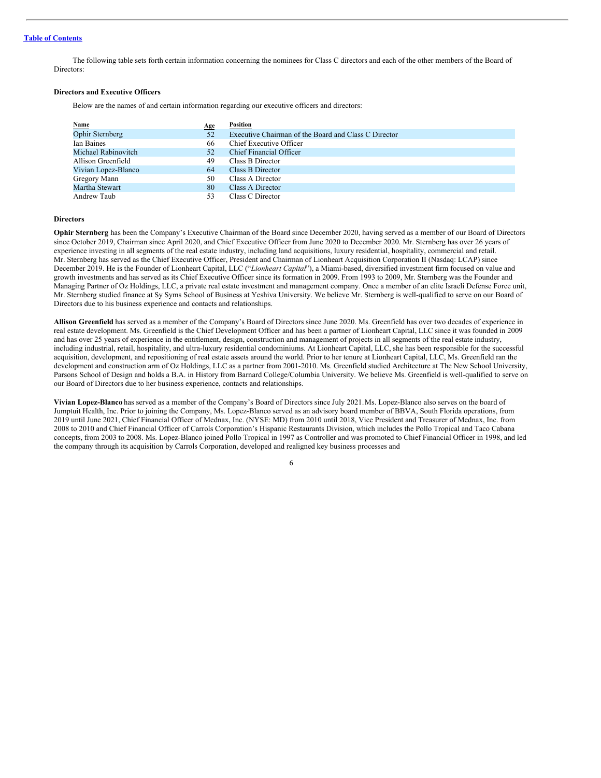The following table sets forth certain information concerning the nominees for Class C directors and each of the other members of the Board of Directors:

## **Directors and Executive Officers**

Below are the names of and certain information regarding our executive officers and directors:

|                         | <u>Age</u> | Position                                             |
|-------------------------|------------|------------------------------------------------------|
| Name<br>Ophir Sternberg | 52         | Executive Chairman of the Board and Class C Director |
| Ian Baines              | 66         | Chief Executive Officer                              |
| Michael Rabinovitch     | 52         | Chief Financial Officer                              |
| Allison Greenfield      | 49         | Class B Director                                     |
| Vivian Lopez-Blanco     | 64         | Class B Director                                     |
| Gregory Mann            | 50         | Class A Director                                     |
| Martha Stewart          | 80         | Class A Director                                     |
| Andrew Taub             | 53         | Class C Director                                     |

#### **Directors**

**Ophir Sternberg** has been the Company's Executive Chairman of the Board since December 2020, having served as a member of our Board of Directors since October 2019, Chairman since April 2020, and Chief Executive Officer from June 2020 to December 2020. Mr. Sternberg has over 26 years of experience investing in all segments of the real estate industry, including land acquisitions, luxury residential, hospitality, commercial and retail. Mr. Sternberg has served as the Chief Executive Officer, President and Chairman of Lionheart Acquisition Corporation II (Nasdaq: LCAP) since December 2019. He is the Founder of Lionheart Capital, LLC ("*Lionheart Capital*"), a Miami-based, diversified investment firm focused on value and growth investments and has served as its Chief Executive Officer since its formation in 2009. From 1993 to 2009, Mr. Sternberg was the Founder and Managing Partner of Oz Holdings, LLC, a private real estate investment and management company. Once a member of an elite Israeli Defense Force unit, Mr. Sternberg studied finance at Sy Syms School of Business at Yeshiva University. We believe Mr. Sternberg is well-qualified to serve on our Board of Directors due to his business experience and contacts and relationships.

**Allison Greenfield** has served as a member of the Company's Board of Directors since June 2020. Ms. Greenfield has over two decades of experience in real estate development. Ms. Greenfield is the Chief Development Officer and has been a partner of Lionheart Capital, LLC since it was founded in 2009 and has over 25 years of experience in the entitlement, design, construction and management of projects in all segments of the real estate industry, including industrial, retail, hospitality, and ultra-luxury residential condominiums. At Lionheart Capital, LLC, she has been responsible for the successful acquisition, development, and repositioning of real estate assets around the world. Prior to her tenure at Lionheart Capital, LLC, Ms. Greenfield ran the development and construction arm of Oz Holdings, LLC as a partner from 2001-2010. Ms. Greenfield studied Architecture at The New School University, Parsons School of Design and holds a B.A. in History from Barnard College/Columbia University. We believe Ms. Greenfield is well-qualified to serve on our Board of Directors due to her business experience, contacts and relationships.

**Vivian Lopez-Blanco** has served as a member of the Company's Board of Directors since July 2021.Ms. Lopez-Blanco also serves on the board of Jumptuit Health, Inc. Prior to joining the Company, Ms. Lopez-Blanco served as an advisory board member of BBVA, South Florida operations, from 2019 until June 2021, Chief Financial Officer of Mednax, Inc. (NYSE: MD) from 2010 until 2018, Vice President and Treasurer of Mednax, Inc. from 2008 to 2010 and Chief Financial Officer of Carrols Corporation's Hispanic Restaurants Division, which includes the Pollo Tropical and Taco Cabana concepts, from 2003 to 2008. Ms. Lopez-Blanco joined Pollo Tropical in 1997 as Controller and was promoted to Chief Financial Officer in 1998, and led the company through its acquisition by Carrols Corporation, developed and realigned key business processes and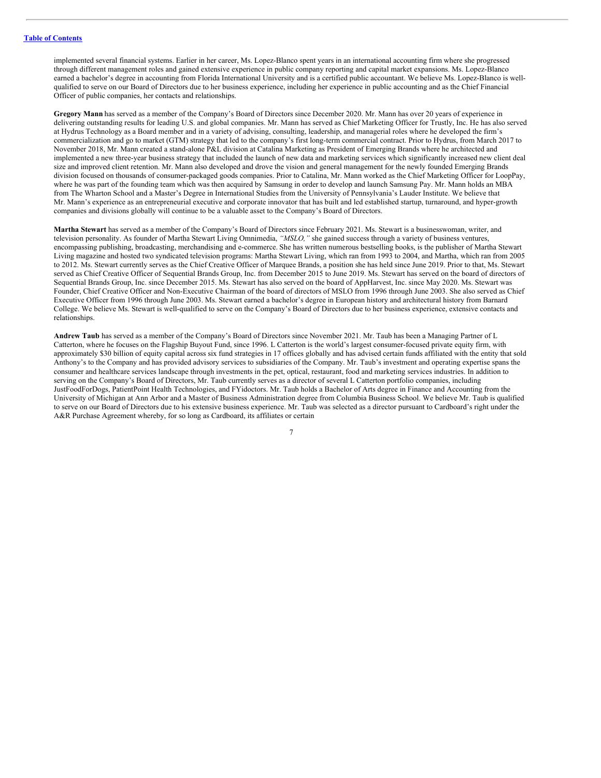implemented several financial systems. Earlier in her career, Ms. Lopez-Blanco spent years in an international accounting firm where she progressed through different management roles and gained extensive experience in public company reporting and capital market expansions. Ms. Lopez-Blanco earned a bachelor's degree in accounting from Florida International University and is a certified public accountant. We believe Ms. Lopez-Blanco is wellqualified to serve on our Board of Directors due to her business experience, including her experience in public accounting and as the Chief Financial Officer of public companies, her contacts and relationships.

**Gregory Mann** has served as a member of the Company's Board of Directors since December 2020. Mr. Mann has over 20 years of experience in delivering outstanding results for leading U.S. and global companies. Mr. Mann has served as Chief Marketing Officer for Trustly, Inc. He has also served at Hydrus Technology as a Board member and in a variety of advising, consulting, leadership, and managerial roles where he developed the firm's commercialization and go to market (GTM) strategy that led to the company's first long-term commercial contract. Prior to Hydrus, from March 2017 to November 2018, Mr. Mann created a stand-alone P&L division at Catalina Marketing as President of Emerging Brands where he architected and implemented a new three-year business strategy that included the launch of new data and marketing services which significantly increased new client deal size and improved client retention. Mr. Mann also developed and drove the vision and general management for the newly founded Emerging Brands division focused on thousands of consumer-packaged goods companies. Prior to Catalina, Mr. Mann worked as the Chief Marketing Officer for LoopPay, where he was part of the founding team which was then acquired by Samsung in order to develop and launch Samsung Pay. Mr. Mann holds an MBA from The Wharton School and a Master's Degree in International Studies from the University of Pennsylvania's Lauder Institute. We believe that Mr. Mann's experience as an entrepreneurial executive and corporate innovator that has built and led established startup, turnaround, and hyper-growth companies and divisions globally will continue to be a valuable asset to the Company's Board of Directors.

**Martha Stewart** has served as a member of the Company's Board of Directors since February 2021. Ms. Stewart is a businesswoman, writer, and television personality. As founder of Martha Stewart Living Omnimedia, *"MSLO,"* she gained success through a variety of business ventures, encompassing publishing, broadcasting, merchandising and e-commerce. She has written numerous bestselling books, is the publisher of Martha Stewart Living magazine and hosted two syndicated television programs: Martha Stewart Living, which ran from 1993 to 2004, and Martha, which ran from 2005 to 2012. Ms. Stewart currently serves as the Chief Creative Officer of Marquee Brands, a position she has held since June 2019. Prior to that, Ms. Stewart served as Chief Creative Officer of Sequential Brands Group, Inc. from December 2015 to June 2019. Ms. Stewart has served on the board of directors of Sequential Brands Group, Inc. since December 2015. Ms. Stewart has also served on the board of AppHarvest, Inc. since May 2020. Ms. Stewart was Founder, Chief Creative Officer and Non-Executive Chairman of the board of directors of MSLO from 1996 through June 2003. She also served as Chief Executive Officer from 1996 through June 2003. Ms. Stewart earned a bachelor's degree in European history and architectural history from Barnard College. We believe Ms. Stewart is well-qualified to serve on the Company's Board of Directors due to her business experience, extensive contacts and relationships.

**Andrew Taub** has served as a member of the Company's Board of Directors since November 2021. Mr. Taub has been a Managing Partner of L Catterton, where he focuses on the Flagship Buyout Fund, since 1996. L Catterton is the world's largest consumer-focused private equity firm, with approximately \$30 billion of equity capital across six fund strategies in 17 offices globally and has advised certain funds affiliated with the entity that sold Anthony's to the Company and has provided advisory services to subsidiaries of the Company. Mr. Taub's investment and operating expertise spans the consumer and healthcare services landscape through investments in the pet, optical, restaurant, food and marketing services industries. In addition to serving on the Company's Board of Directors, Mr. Taub currently serves as a director of several L Catterton portfolio companies, including JustFoodForDogs, PatientPoint Health Technologies, and FYidoctors. Mr. Taub holds a Bachelor of Arts degree in Finance and Accounting from the University of Michigan at Ann Arbor and a Master of Business Administration degree from Columbia Business School. We believe Mr. Taub is qualified to serve on our Board of Directors due to his extensive business experience. Mr. Taub was selected as a director pursuant to Cardboard's right under the A&R Purchase Agreement whereby, for so long as Cardboard, its affiliates or certain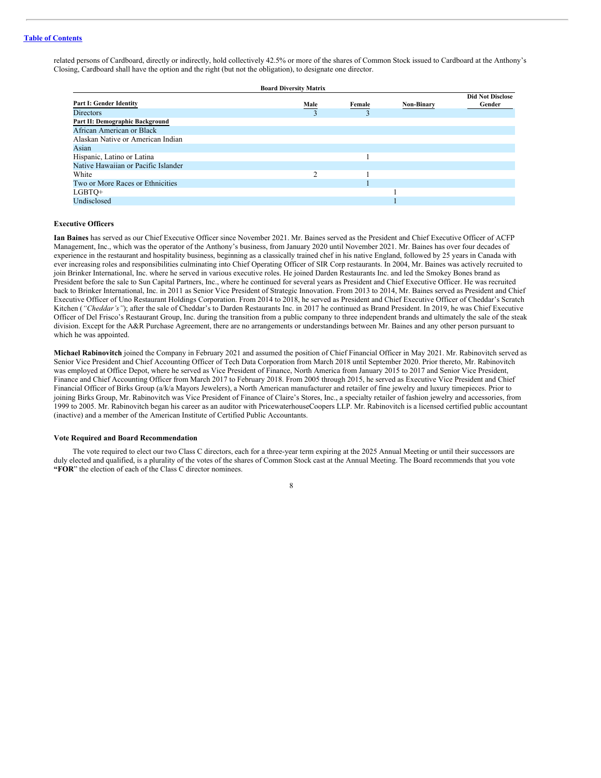related persons of Cardboard, directly or indirectly, hold collectively 42.5% or more of the shares of Common Stock issued to Cardboard at the Anthony's Closing, Cardboard shall have the option and the right (but not the obligation), to designate one director.

| <b>Board Diversity Matrix</b>       |      |        |                   |                         |  |  |
|-------------------------------------|------|--------|-------------------|-------------------------|--|--|
|                                     |      |        |                   | <b>Did Not Disclose</b> |  |  |
| Part I: Gender Identity             | Male | Female | <b>Non-Binary</b> | Gender                  |  |  |
| <b>Directors</b>                    |      |        |                   |                         |  |  |
| Part II: Demographic Background     |      |        |                   |                         |  |  |
| African American or Black           |      |        |                   |                         |  |  |
| Alaskan Native or American Indian   |      |        |                   |                         |  |  |
| Asian                               |      |        |                   |                         |  |  |
| Hispanic, Latino or Latina          |      |        |                   |                         |  |  |
| Native Hawaiian or Pacific Islander |      |        |                   |                         |  |  |
| White                               | ◠    |        |                   |                         |  |  |
| Two or More Races or Ethnicities    |      |        |                   |                         |  |  |
| LGBTQ+                              |      |        |                   |                         |  |  |
| Undisclosed                         |      |        |                   |                         |  |  |

#### **Executive Officers**

**Ian Baines** has served as our Chief Executive Officer since November 2021. Mr. Baines served as the President and Chief Executive Officer of ACFP Management, Inc., which was the operator of the Anthony's business, from January 2020 until November 2021. Mr. Baines has over four decades of experience in the restaurant and hospitality business, beginning as a classically trained chef in his native England, followed by 25 years in Canada with ever increasing roles and responsibilities culminating into Chief Operating Officer of SIR Corp restaurants. In 2004, Mr. Baines was actively recruited to join Brinker International, Inc. where he served in various executive roles. He joined Darden Restaurants Inc. and led the Smokey Bones brand as President before the sale to Sun Capital Partners, Inc., where he continued for several years as President and Chief Executive Officer. He was recruited back to Brinker International, Inc. in 2011 as Senior Vice President of Strategic Innovation. From 2013 to 2014, Mr. Baines served as President and Chief Executive Officer of Uno Restaurant Holdings Corporation. From 2014 to 2018, he served as President and Chief Executive Officer of Cheddar's Scratch Kitchen (*"Cheddar's"*); after the sale of Cheddar's to Darden Restaurants Inc. in 2017 he continued as Brand President. In 2019, he was Chief Executive Officer of Del Frisco's Restaurant Group, Inc. during the transition from a public company to three independent brands and ultimately the sale of the steak division. Except for the A&R Purchase Agreement, there are no arrangements or understandings between Mr. Baines and any other person pursuant to which he was appointed.

**Michael Rabinovitch** joined the Company in February 2021 and assumed the position of Chief Financial Officer in May 2021. Mr. Rabinovitch served as Senior Vice President and Chief Accounting Officer of Tech Data Corporation from March 2018 until September 2020. Prior thereto, Mr. Rabinovitch was employed at Office Depot, where he served as Vice President of Finance, North America from January 2015 to 2017 and Senior Vice President, Finance and Chief Accounting Officer from March 2017 to February 2018. From 2005 through 2015, he served as Executive Vice President and Chief Financial Officer of Birks Group (a/k/a Mayors Jewelers), a North American manufacturer and retailer of fine jewelry and luxury timepieces. Prior to joining Birks Group, Mr. Rabinovitch was Vice President of Finance of Claire's Stores, Inc., a specialty retailer of fashion jewelry and accessories, from 1999 to 2005. Mr. Rabinovitch began his career as an auditor with PricewaterhouseCoopers LLP. Mr. Rabinovitch is a licensed certified public accountant (inactive) and a member of the American Institute of Certified Public Accountants.

## **Vote Required and Board Recommendation**

The vote required to elect our two Class C directors, each for a three-year term expiring at the 2025 Annual Meeting or until their successors are duly elected and qualified, is a plurality of the votes of the shares of Common Stock cast at the Annual Meeting. The Board recommends that you vote **"FOR**" the election of each of the Class C director nominees.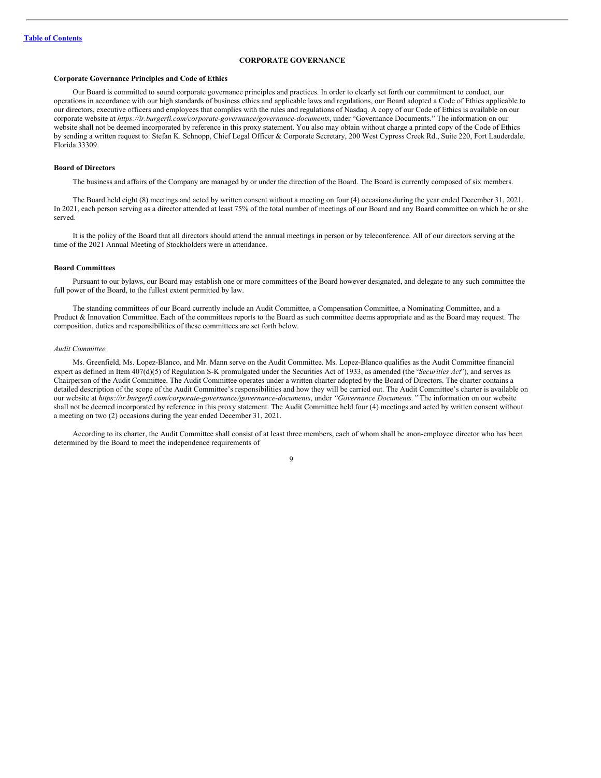## <span id="page-13-0"></span>**CORPORATE GOVERNANCE**

#### **Corporate Governance Principles and Code of Ethics**

Our Board is committed to sound corporate governance principles and practices. In order to clearly set forth our commitment to conduct, our operations in accordance with our high standards of business ethics and applicable laws and regulations, our Board adopted a Code of Ethics applicable to our directors, executive officers and employees that complies with the rules and regulations of Nasdaq. A copy of our Code of Ethics is available on our corporate website at *https://ir.burgerfi.com/corporate-governance/governance-documents*, under "Governance Documents." The information on our website shall not be deemed incorporated by reference in this proxy statement. You also may obtain without charge a printed copy of the Code of Ethics by sending a written request to: Stefan K. Schnopp, Chief Legal Officer & Corporate Secretary, 200 West Cypress Creek Rd., Suite 220, Fort Lauderdale, Florida 33309.

#### **Board of Directors**

The business and affairs of the Company are managed by or under the direction of the Board. The Board is currently composed of six members.

The Board held eight (8) meetings and acted by written consent without a meeting on four (4) occasions during the year ended December 31, 2021. In 2021, each person serving as a director attended at least 75% of the total number of meetings of our Board and any Board committee on which he or she served.

It is the policy of the Board that all directors should attend the annual meetings in person or by teleconference. All of our directors serving at the time of the 2021 Annual Meeting of Stockholders were in attendance.

#### **Board Committees**

Pursuant to our bylaws, our Board may establish one or more committees of the Board however designated, and delegate to any such committee the full power of the Board, to the fullest extent permitted by law.

The standing committees of our Board currently include an Audit Committee, a Compensation Committee, a Nominating Committee, and a Product & Innovation Committee. Each of the committees reports to the Board as such committee deems appropriate and as the Board may request. The composition, duties and responsibilities of these committees are set forth below.

#### *Audit Committee*

Ms. Greenfield, Ms. Lopez-Blanco, and Mr. Mann serve on the Audit Committee. Ms. Lopez-Blanco qualifies as the Audit Committee financial expert as defined in Item 407(d)(5) of Regulation S-K promulgated under the Securities Act of 1933, as amended (the "*Securities Act*"), and serves as Chairperson of the Audit Committee. The Audit Committee operates under a written charter adopted by the Board of Directors. The charter contains a detailed description of the scope of the Audit Committee's responsibilities and how they will be carried out. The Audit Committee's charter is available on our website at *https://ir.burgerfi.com/corporate-governance/governance-documents*, under *"Governance Documents."* The information on our website shall not be deemed incorporated by reference in this proxy statement. The Audit Committee held four (4) meetings and acted by written consent without a meeting on two (2) occasions during the year ended December 31, 2021.

According to its charter, the Audit Committee shall consist of at least three members, each of whom shall be anon-employee director who has been determined by the Board to meet the independence requirements of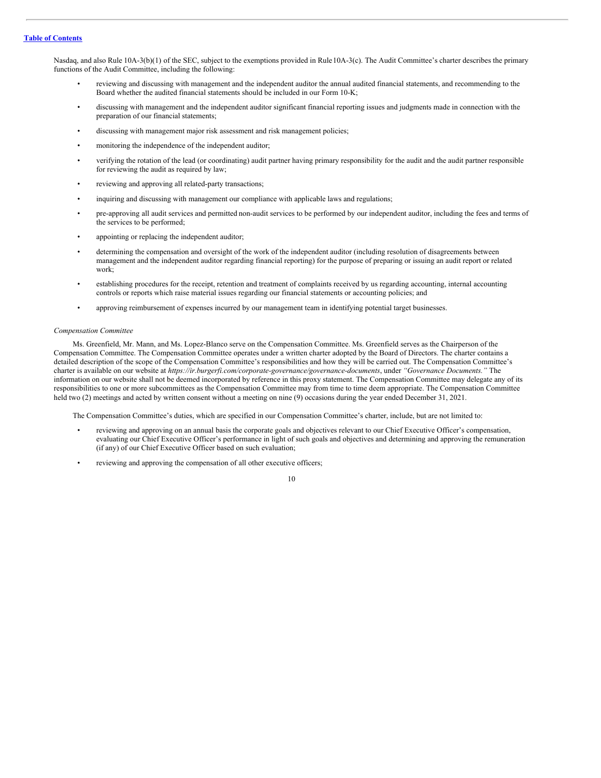Nasdaq, and also Rule 10A-3(b)(1) of the SEC, subject to the exemptions provided in Rule10A-3(c). The Audit Committee's charter describes the primary functions of the Audit Committee, including the following:

- reviewing and discussing with management and the independent auditor the annual audited financial statements, and recommending to the Board whether the audited financial statements should be included in our Form 10-K;
- discussing with management and the independent auditor significant financial reporting issues and judgments made in connection with the preparation of our financial statements;
- discussing with management major risk assessment and risk management policies;
- monitoring the independence of the independent auditor;
- verifying the rotation of the lead (or coordinating) audit partner having primary responsibility for the audit and the audit partner responsible for reviewing the audit as required by law;
- reviewing and approving all related-party transactions;
- inquiring and discussing with management our compliance with applicable laws and regulations;
- pre-approving all audit services and permitted non-audit services to be performed by our independent auditor, including the fees and terms of the services to be performed;
- appointing or replacing the independent auditor;
- determining the compensation and oversight of the work of the independent auditor (including resolution of disagreements between management and the independent auditor regarding financial reporting) for the purpose of preparing or issuing an audit report or related work;
- establishing procedures for the receipt, retention and treatment of complaints received by us regarding accounting, internal accounting controls or reports which raise material issues regarding our financial statements or accounting policies; and
- approving reimbursement of expenses incurred by our management team in identifying potential target businesses.

#### *Compensation Committee*

Ms. Greenfield, Mr. Mann, and Ms. Lopez-Blanco serve on the Compensation Committee. Ms. Greenfield serves as the Chairperson of the Compensation Committee. The Compensation Committee operates under a written charter adopted by the Board of Directors. The charter contains a detailed description of the scope of the Compensation Committee's responsibilities and how they will be carried out. The Compensation Committee's charter is available on our website at *https://ir.burgerfi.com/corporate-governance/governance-documents*, under *"Governance Documents."* The information on our website shall not be deemed incorporated by reference in this proxy statement. The Compensation Committee may delegate any of its responsibilities to one or more subcommittees as the Compensation Committee may from time to time deem appropriate. The Compensation Committee held two (2) meetings and acted by written consent without a meeting on nine (9) occasions during the year ended December 31, 2021.

The Compensation Committee's duties, which are specified in our Compensation Committee's charter, include, but are not limited to:

- reviewing and approving on an annual basis the corporate goals and objectives relevant to our Chief Executive Officer's compensation, evaluating our Chief Executive Officer's performance in light of such goals and objectives and determining and approving the remuneration (if any) of our Chief Executive Officer based on such evaluation;
- reviewing and approving the compensation of all other executive officers;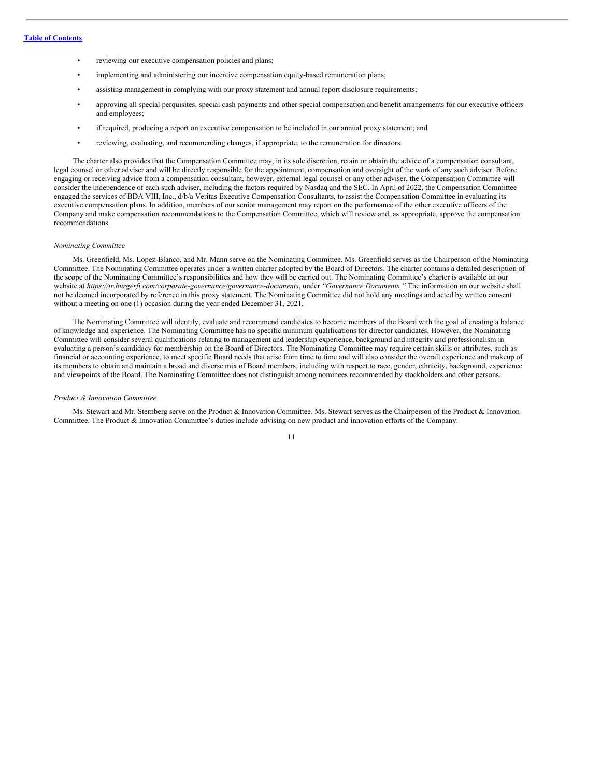- reviewing our executive compensation policies and plans;
- implementing and administering our incentive compensation equity-based remuneration plans;
- assisting management in complying with our proxy statement and annual report disclosure requirements;
- approving all special perquisites, special cash payments and other special compensation and benefit arrangements for our executive officers and employees;
- if required, producing a report on executive compensation to be included in our annual proxy statement; and
- reviewing, evaluating, and recommending changes, if appropriate, to the remuneration for directors.

The charter also provides that the Compensation Committee may, in its sole discretion, retain or obtain the advice of a compensation consultant, legal counsel or other adviser and will be directly responsible for the appointment, compensation and oversight of the work of any such adviser. Before engaging or receiving advice from a compensation consultant, however, external legal counsel or any other adviser, the Compensation Committee will consider the independence of each such adviser, including the factors required by Nasdaq and the SEC. In April of 2022, the Compensation Committee engaged the services of BDA VIII, Inc.,  $d/b/a$  Veritas Executive Compensation Consultants, to assist the Compensation Committee in evaluating its executive compensation plans. In addition, members of our senior management may report on the performance of the other executive officers of the Company and make compensation recommendations to the Compensation Committee, which will review and, as appropriate, approve the compensation recommendations.

#### *Nominating Committee*

Ms. Greenfield, Ms. Lopez-Blanco, and Mr. Mann serve on the Nominating Committee. Ms. Greenfield serves as the Chairperson of the Nominating Committee. The Nominating Committee operates under a written charter adopted by the Board of Directors. The charter contains a detailed description of the scope of the Nominating Committee's responsibilities and how they will be carried out. The Nominating Committee's charter is available on our website at *https://ir.burgerfi.com/corporate-governance/governance-documents*, under *"Governance Documents."* The information on our website shall not be deemed incorporated by reference in this proxy statement. The Nominating Committee did not hold any meetings and acted by written consent without a meeting on one (1) occasion during the year ended December 31, 2021.

The Nominating Committee will identify, evaluate and recommend candidates to become members of the Board with the goal of creating a balance of knowledge and experience. The Nominating Committee has no specific minimum qualifications for director candidates. However, the Nominating Committee will consider several qualifications relating to management and leadership experience, background and integrity and professionalism in evaluating a person's candidacy for membership on the Board of Directors. The Nominating Committee may require certain skills or attributes, such as financial or accounting experience, to meet specific Board needs that arise from time to time and will also consider the overall experience and makeup of its members to obtain and maintain a broad and diverse mix of Board members, including with respect to race, gender, ethnicity, background, experience and viewpoints of the Board. The Nominating Committee does not distinguish among nominees recommended by stockholders and other persons.

#### *Product & Innovation Committee*

Ms. Stewart and Mr. Sternberg serve on the Product & Innovation Committee. Ms. Stewart serves as the Chairperson of the Product & Innovation Committee. The Product & Innovation Committee's duties include advising on new product and innovation efforts of the Company.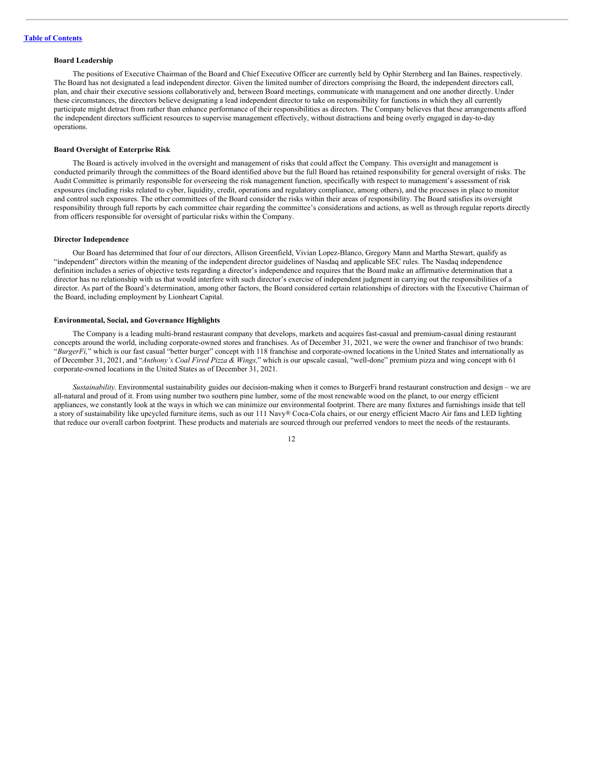## **Board Leadership**

The positions of Executive Chairman of the Board and Chief Executive Officer are currently held by Ophir Sternberg and Ian Baines, respectively. The Board has not designated a lead independent director. Given the limited number of directors comprising the Board, the independent directors call, plan, and chair their executive sessions collaboratively and, between Board meetings, communicate with management and one another directly. Under these circumstances, the directors believe designating a lead independent director to take on responsibility for functions in which they all currently participate might detract from rather than enhance performance of their responsibilities as directors. The Company believes that these arrangements afford the independent directors sufficient resources to supervise management effectively, without distractions and being overly engaged in day-to-day operations.

#### **Board Oversight of Enterprise Risk**

The Board is actively involved in the oversight and management of risks that could affect the Company. This oversight and management is conducted primarily through the committees of the Board identified above but the full Board has retained responsibility for general oversight of risks. The Audit Committee is primarily responsible for overseeing the risk management function, specifically with respect to management's assessment of risk exposures (including risks related to cyber, liquidity, credit, operations and regulatory compliance, among others), and the processes in place to monitor and control such exposures. The other committees of the Board consider the risks within their areas of responsibility. The Board satisfies its oversight responsibility through full reports by each committee chair regarding the committee's considerations and actions, as well as through regular reports directly from officers responsible for oversight of particular risks within the Company.

#### **Director Independence**

Our Board has determined that four of our directors, Allison Greenfield, Vivian Lopez-Blanco, Gregory Mann and Martha Stewart, qualify as "independent" directors within the meaning of the independent director guidelines of Nasdaq and applicable SEC rules. The Nasdaq independence definition includes a series of objective tests regarding a director's independence and requires that the Board make an affirmative determination that a director has no relationship with us that would interfere with such director's exercise of independent judgment in carrying out the responsibilities of a director. As part of the Board's determination, among other factors, the Board considered certain relationships of directors with the Executive Chairman of the Board, including employment by Lionheart Capital.

## **Environmental, Social, and Governance Highlights**

The Company is a leading multi-brand restaurant company that develops, markets and acquires fast-casual and premium-casual dining restaurant concepts around the world, including corporate-owned stores and franchises. As of December 31, 2021, we were the owner and franchisor of two brands: "*BurgerFi,*" which is our fast casual "better burger" concept with 118 franchise and corporate-owned locations in the United States and internationally as of December 31, 2021, and "*Anthony's Coal Fired Pizza & Wings,*" which is our upscale casual, "well-done" premium pizza and wing concept with 61 corporate-owned locations in the United States as of December 31, 2021.

*Sustainability*. Environmental sustainability guides our decision-making when it comes to BurgerFi brand restaurant construction and design – we are all-natural and proud of it. From using number two southern pine lumber, some of the most renewable wood on the planet, to our energy efficient appliances, we constantly look at the ways in which we can minimize our environmental footprint. There are many fixtures and furnishings inside that tell a story of sustainability like upcycled furniture items, such as our 111 Navy® Coca-Cola chairs, or our energy efficient Macro Air fans and LED lighting that reduce our overall carbon footprint. These products and materials are sourced through our preferred vendors to meet the needs of the restaurants.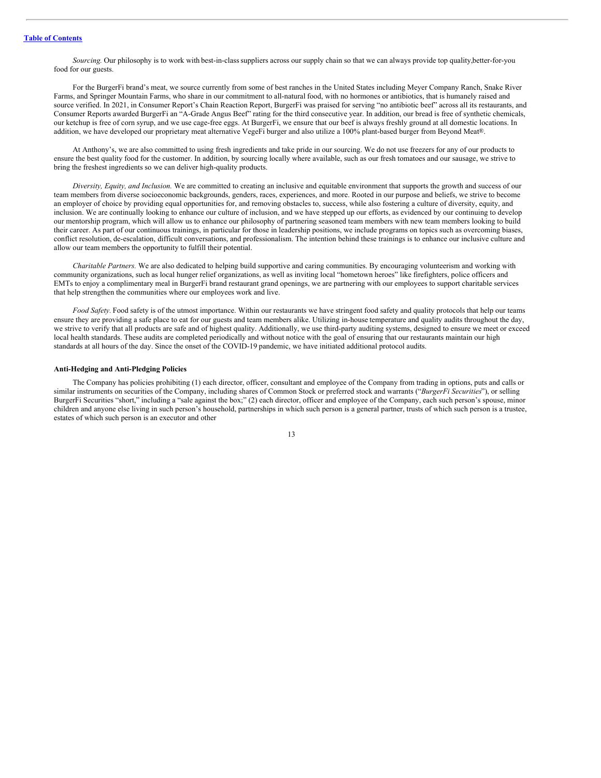*Sourcing.* Our philosophy is to work with best-in-classsuppliers across our supply chain so that we can always provide top quality,better-for-you food for our guests.

For the BurgerFi brand's meat, we source currently from some of best ranches in the United States including Meyer Company Ranch, Snake River Farms, and Springer Mountain Farms, who share in our commitment to all-natural food, with no hormones or antibiotics, that is humanely raised and source verified. In 2021, in Consumer Report's Chain Reaction Report, BurgerFi was praised for serving "no antibiotic beef" across all its restaurants, and Consumer Reports awarded BurgerFi an "A-Grade Angus Beef" rating for the third consecutive year. In addition, our bread is free of synthetic chemicals, our ketchup is free of corn syrup, and we use cage-free eggs. At BurgerFi, we ensure that our beef is always freshly ground at all domestic locations. In addition, we have developed our proprietary meat alternative VegeFi burger and also utilize a 100% plant-based burger from Beyond Meat®.

At Anthony's, we are also committed to using fresh ingredients and take pride in our sourcing. We do not use freezers for any of our products to ensure the best quality food for the customer. In addition, by sourcing locally where available, such as our fresh tomatoes and our sausage, we strive to bring the freshest ingredients so we can deliver high-quality products.

*Diversity, Equity, and Inclusion.* We are committed to creating an inclusive and equitable environment that supports the growth and success of our team members from diverse socioeconomic backgrounds, genders, races, experiences, and more. Rooted in our purpose and beliefs, we strive to become an employer of choice by providing equal opportunities for, and removing obstacles to, success, while also fostering a culture of diversity, equity, and inclusion. We are continually looking to enhance our culture of inclusion, and we have stepped up our efforts, as evidenced by our continuing to develop our mentorship program, which will allow us to enhance our philosophy of partnering seasoned team members with new team members looking to build their career. As part of our continuous trainings, in particular for those in leadership positions, we include programs on topics such as overcoming biases, conflict resolution, de-escalation, difficult conversations, and professionalism. The intention behind these trainings is to enhance our inclusive culture and allow our team members the opportunity to fulfill their potential.

*Charitable Partners.* We are also dedicated to helping build supportive and caring communities. By encouraging volunteerism and working with community organizations, such as local hunger relief organizations, as well as inviting local "hometown heroes" like firefighters, police officers and EMTs to enjoy a complimentary meal in BurgerFi brand restaurant grand openings, we are partnering with our employees to support charitable services that help strengthen the communities where our employees work and live.

*Food Safety.* Food safety is of the utmost importance. Within our restaurants we have stringent food safety and quality protocols that help our teams ensure they are providing a safe place to eat for our guests and team members alike. Utilizing in-house temperature and quality audits throughout the day, we strive to verify that all products are safe and of highest quality. Additionally, we use third-party auditing systems, designed to ensure we meet or exceed local health standards. These audits are completed periodically and without notice with the goal of ensuring that our restaurants maintain our high standards at all hours of the day. Since the onset of the COVID-19 pandemic, we have initiated additional protocol audits.

#### **Anti-Hedging and Anti-Pledging Policies**

The Company has policies prohibiting (1) each director, officer, consultant and employee of the Company from trading in options, puts and calls or similar instruments on securities of the Company, including shares of Common Stock or preferred stock and warrants ("*BurgerFi Securities*"), or selling BurgerFi Securities "short," including a "sale against the box;" (2) each director, officer and employee of the Company, each such person's spouse, minor children and anyone else living in such person's household, partnerships in which such person is a general partner, trusts of which such person is a trustee, estates of which such person is an executor and other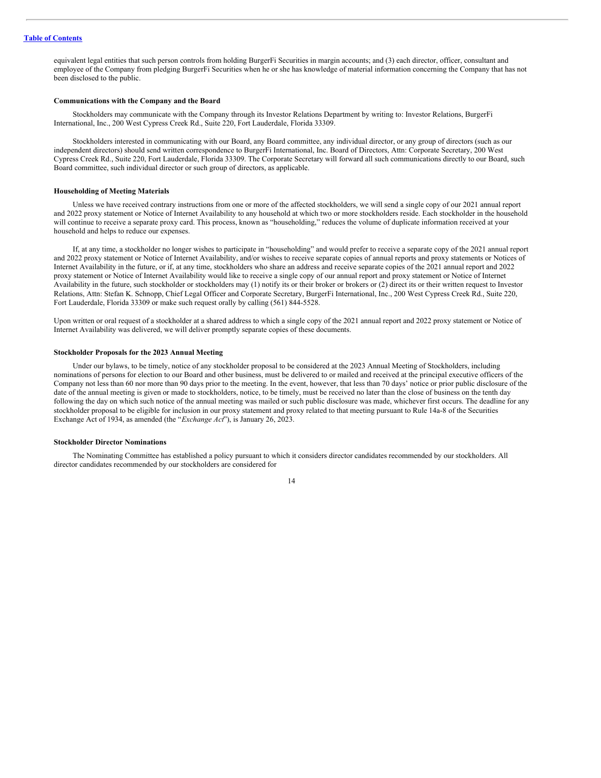equivalent legal entities that such person controls from holding BurgerFi Securities in margin accounts; and (3) each director, officer, consultant and employee of the Company from pledging BurgerFi Securities when he or she has knowledge of material information concerning the Company that has not been disclosed to the public.

#### **Communications with the Company and the Board**

Stockholders may communicate with the Company through its Investor Relations Department by writing to: Investor Relations, BurgerFi International, Inc., 200 West Cypress Creek Rd., Suite 220, Fort Lauderdale, Florida 33309.

Stockholders interested in communicating with our Board, any Board committee, any individual director, or any group of directors (such as our independent directors) should send written correspondence to BurgerFi International, Inc. Board of Directors, Attn: Corporate Secretary, 200 West Cypress Creek Rd., Suite 220, Fort Lauderdale, Florida 33309. The Corporate Secretary will forward all such communications directly to our Board, such Board committee, such individual director or such group of directors, as applicable.

#### **Householding of Meeting Materials**

Unless we have received contrary instructions from one or more of the affected stockholders, we will send a single copy of our 2021 annual report and 2022 proxy statement or Notice of Internet Availability to any household at which two or more stockholders reside. Each stockholder in the household will continue to receive a separate proxy card. This process, known as "householding," reduces the volume of duplicate information received at your household and helps to reduce our expenses.

If, at any time, a stockholder no longer wishes to participate in "householding" and would prefer to receive a separate copy of the 2021 annual report and 2022 proxy statement or Notice of Internet Availability, and/or wishes to receive separate copies of annual reports and proxy statements or Notices of Internet Availability in the future, or if, at any time, stockholders who share an address and receive separate copies of the 2021 annual report and 2022 proxy statement or Notice of Internet Availability would like to receive a single copy of our annual report and proxy statement or Notice of Internet Availability in the future, such stockholder or stockholders may (1) notify its or their broker or brokers or (2) direct its or their written request to Investor Relations, Attn: Stefan K. Schnopp, Chief Legal Officer and Corporate Secretary, BurgerFi International, Inc., 200 West Cypress Creek Rd., Suite 220, Fort Lauderdale, Florida 33309 or make such request orally by calling (561) 844-5528.

Upon written or oral request of a stockholder at a shared address to which a single copy of the 2021 annual report and 2022 proxy statement or Notice of Internet Availability was delivered, we will deliver promptly separate copies of these documents.

## **Stockholder Proposals for the 2023 Annual Meeting**

Under our bylaws, to be timely, notice of any stockholder proposal to be considered at the 2023 Annual Meeting of Stockholders, including nominations of persons for election to our Board and other business, must be delivered to or mailed and received at the principal executive officers of the Company not less than 60 nor more than 90 days prior to the meeting. In the event, however, that less than 70 days' notice or prior public disclosure of the date of the annual meeting is given or made to stockholders, notice, to be timely, must be received no later than the close of business on the tenth day following the day on which such notice of the annual meeting was mailed or such public disclosure was made, whichever first occurs. The deadline for any stockholder proposal to be eligible for inclusion in our proxy statement and proxy related to that meeting pursuant to Rule 14a-8 of the Securities Exchange Act of 1934, as amended (the "*Exchange Act*"), is January 26, 2023.

#### **Stockholder Director Nominations**

The Nominating Committee has established a policy pursuant to which it considers director candidates recommended by our stockholders. All director candidates recommended by our stockholders are considered for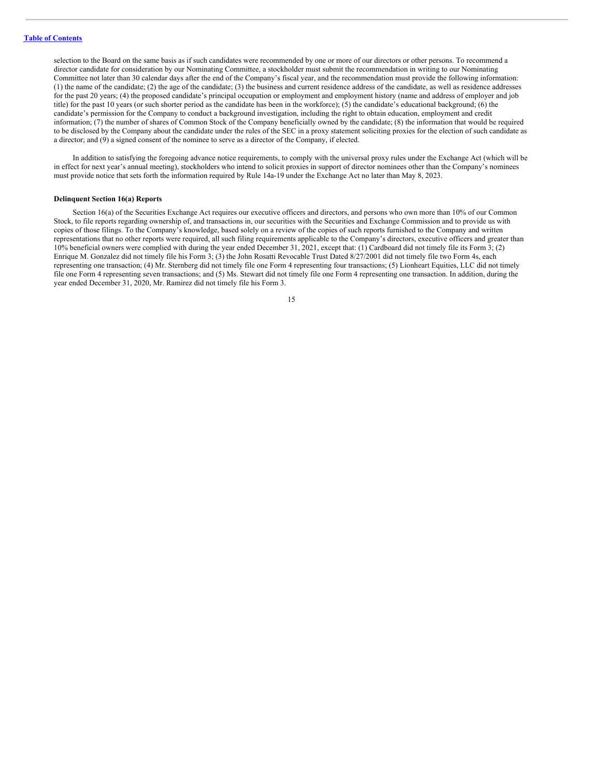selection to the Board on the same basis as if such candidates were recommended by one or more of our directors or other persons. To recommend a director candidate for consideration by our Nominating Committee, a stockholder must submit the recommendation in writing to our Nominating Committee not later than 30 calendar days after the end of the Company's fiscal year, and the recommendation must provide the following information: (1) the name of the candidate; (2) the age of the candidate; (3) the business and current residence address of the candidate, as well as residence addresses for the past 20 years; (4) the proposed candidate's principal occupation or employment and employment history (name and address of employer and job title) for the past 10 years (or such shorter period as the candidate has been in the workforce); (5) the candidate's educational background; (6) the candidate's permission for the Company to conduct a background investigation, including the right to obtain education, employment and credit information; (7) the number of shares of Common Stock of the Company beneficially owned by the candidate; (8) the information that would be required to be disclosed by the Company about the candidate under the rules of the SEC in a proxy statement soliciting proxies for the election of such candidate as a director; and (9) a signed consent of the nominee to serve as a director of the Company, if elected.

In addition to satisfying the foregoing advance notice requirements, to comply with the universal proxy rules under the Exchange Act (which will be in effect for next year's annual meeting), stockholders who intend to solicit proxies in support of director nominees other than the Company's nominees must provide notice that sets forth the information required by Rule 14a-19 under the Exchange Act no later than May 8, 2023.

#### **Delinquent Section 16(a) Reports**

Section 16(a) of the Securities Exchange Act requires our executive officers and directors, and persons who own more than 10% of our Common Stock, to file reports regarding ownership of, and transactions in, our securities with the Securities and Exchange Commission and to provide us with copies of those filings. To the Company's knowledge, based solely on a review of the copies of such reports furnished to the Company and written representations that no other reports were required, all such filing requirements applicable to the Company's directors, executive officers and greater than 10% beneficial owners were complied with during the year ended December 31, 2021, except that: (1) Cardboard did not timely file its Form 3; (2) Enrique M. Gonzalez did not timely file his Form 3; (3) the John Rosatti Revocable Trust Dated 8/27/2001 did not timely file two Form 4s, each representing one transaction; (4) Mr. Sternberg did not timely file one Form 4 representing four transactions; (5) Lionheart Equities, LLC did not timely file one Form 4 representing seven transactions; and (5) Ms. Stewart did not timely file one Form 4 representing one transaction. In addition, during the year ended December 31, 2020, Mr. Ramirez did not timely file his Form 3.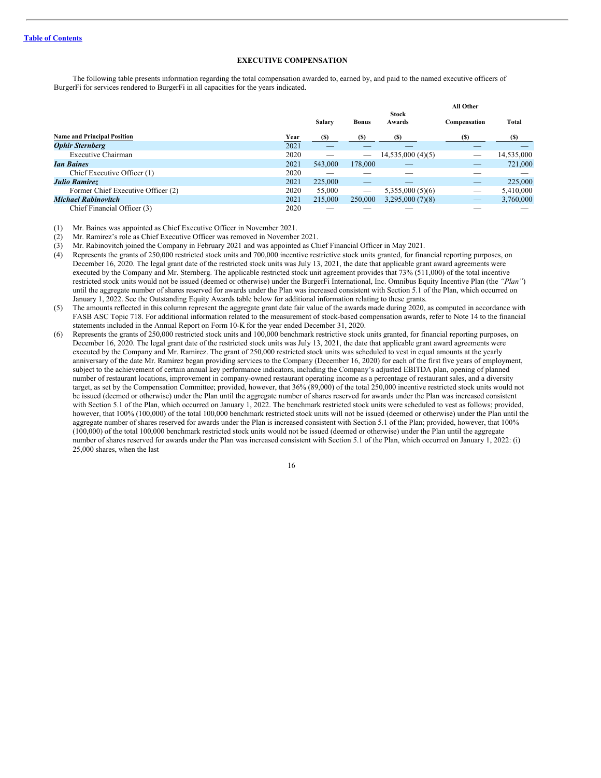## <span id="page-20-0"></span>**EXECUTIVE COMPENSATION**

The following table presents information regarding the total compensation awarded to, earned by, and paid to the named executive officers of BurgerFi for services rendered to BurgerFi in all capacities for the years indicated.

|                                    |      |                          |                          |                        | <b>All Other</b> |            |
|------------------------------------|------|--------------------------|--------------------------|------------------------|------------------|------------|
|                                    |      | Salary                   | <b>Bonus</b>             | <b>Stock</b><br>Awards | Compensation     | Total      |
| <b>Name and Principal Position</b> | Year | (S)                      | (S)                      | <b>(S)</b>             | (S)              | (S)        |
| <b>Ophir Sternberg</b>             | 2021 | $\overline{\phantom{a}}$ |                          |                        |                  |            |
| Executive Chairman                 | 2020 |                          | $\overline{\phantom{a}}$ | 14,535,000(4)(5)       | __               | 14,535,000 |
| <b><i>Ian Baines</i></b>           | 2021 | 543,000                  | 178,000                  |                        | _                | 721,000    |
| Chief Executive Officer (1)        | 2020 |                          |                          |                        |                  |            |
| <b>Julio Ramirez</b>               | 2021 | 225,000                  | _                        |                        | _                | 225,000    |
| Former Chief Executive Officer (2) | 2020 | 55,000                   | $\overline{\phantom{a}}$ | 5,355,000(5)(6)        | _                | 5,410,000  |
| <b>Michael Rabinovitch</b>         | 2021 | 215,000                  | 250,000                  | 3,295,000(7)(8)        | _                | 3,760,000  |
| Chief Financial Officer (3)        | 2020 |                          |                          |                        |                  |            |

(1) Mr. Baines was appointed as Chief Executive Officer in November 2021.

(2) Mr. Ramirez's role as Chief Executive Officer was removed in November 2021.

(3) Mr. Rabinovitch joined the Company in February 2021 and was appointed as Chief Financial Officer in May 2021.

(4) Represents the grants of 250,000 restricted stock units and 700,000 incentive restrictive stock units granted, for financial reporting purposes, on December 16, 2020. The legal grant date of the restricted stock units was July 13, 2021, the date that applicable grant award agreements were executed by the Company and Mr. Sternberg. The applicable restricted stock unit agreement provides that 73% (511,000) of the total incentive restricted stock units would not be issued (deemed or otherwise) under the BurgerFi International, Inc. Omnibus Equity Incentive Plan (the *"Plan"*) until the aggregate number of shares reserved for awards under the Plan was increased consistent with Section 5.1 of the Plan, which occurred on January 1, 2022. See the Outstanding Equity Awards table below for additional information relating to these grants.

- (5) The amounts reflected in this column represent the aggregate grant date fair value of the awards made during 2020, as computed in accordance with FASB ASC Topic 718. For additional information related to the measurement of stock-based compensation awards, refer to Note 14 to the financial statements included in the Annual Report on Form 10-K for the year ended December 31, 2020.
- (6) Represents the grants of 250,000 restricted stock units and 100,000 benchmark restrictive stock units granted, for financial reporting purposes, on December 16, 2020. The legal grant date of the restricted stock units was July 13, 2021, the date that applicable grant award agreements were executed by the Company and Mr. Ramirez. The grant of 250,000 restricted stock units was scheduled to vest in equal amounts at the yearly anniversary of the date Mr. Ramirez began providing services to the Company (December 16, 2020) for each of the first five years of employment, subject to the achievement of certain annual key performance indicators, including the Company's adjusted EBITDA plan, opening of planned number of restaurant locations, improvement in company-owned restaurant operating income as a percentage of restaurant sales, and a diversity target, as set by the Compensation Committee; provided, however, that 36% (89,000) of the total 250,000 incentive restricted stock units would not be issued (deemed or otherwise) under the Plan until the aggregate number of shares reserved for awards under the Plan was increased consistent with Section 5.1 of the Plan, which occurred on January 1, 2022. The benchmark restricted stock units were scheduled to vest as follows; provided, however, that 100% (100,000) of the total 100,000 benchmark restricted stock units will not be issued (deemed or otherwise) under the Plan until the aggregate number of shares reserved for awards under the Plan is increased consistent with Section 5.1 of the Plan; provided, however, that 100% (100,000) of the total 100,000 benchmark restricted stock units would not be issued (deemed or otherwise) under the Plan until the aggregate number of shares reserved for awards under the Plan was increased consistent with Section 5.1 of the Plan, which occurred on January 1, 2022: (i) 25,000 shares, when the last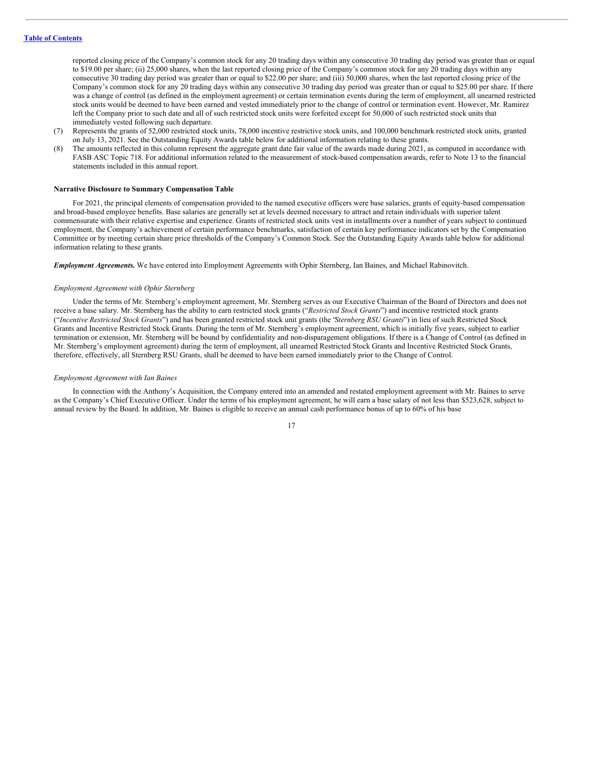reported closing price of the Company's common stock for any 20 trading days within any consecutive 30 trading day period was greater than or equal to \$19.00 per share; (ii) 25,000 shares, when the last reported closing price of the Company's common stock for any 20 trading days within any consecutive 30 trading day period was greater than or equal to \$22.00 per share; and (iii) 50,000 shares, when the last reported closing price of the Company's common stock for any 20 trading days within any consecutive 30 trading day period was greater than or equal to \$25.00 per share. If there was a change of control (as defined in the employment agreement) or certain termination events during the term of employment, all unearned restricted stock units would be deemed to have been earned and vested immediately prior to the change of control or termination event. However, Mr. Ramirez left the Company prior to such date and all of such restricted stock units were forfeited except for 50,000 of such restricted stock units that immediately vested following such departure.

- (7) Represents the grants of 52,000 restricted stock units, 78,000 incentive restrictive stock units, and 100,000 benchmark restricted stock units, granted on July 13, 2021. See the Outstanding Equity Awards table below for additional information relating to these grants.
- (8) The amounts reflected in this column represent the aggregate grant date fair value of the awards made during 2021, as computed in accordance with FASB ASC Topic 718. For additional information related to the measurement of stock-based compensation awards, refer to Note 13 to the financial statements included in this annual report.

#### **Narrative Disclosure to Summary Compensation Table**

For 2021, the principal elements of compensation provided to the named executive officers were base salaries, grants of equity-based compensation and broad-based employee benefits. Base salaries are generally set at levels deemed necessary to attract and retain individuals with superior talent commensurate with their relative expertise and experience. Grants of restricted stock units vest in installments over a number of years subject to continued employment, the Company's achievement of certain performance benchmarks, satisfaction of certain key performance indicators set by the Compensation Committee or by meeting certain share price thresholds of the Company's Common Stock. See the Outstanding Equity Awards table below for additional information relating to these grants.

*Employment Agreements.* We have entered into Employment Agreements with Ophir Sternberg, Ian Baines, and Michael Rabinovitch.

#### *Employment Agreement with Ophir Sternberg*

Under the terms of Mr. Sternberg's employment agreement, Mr. Sternberg serves as our Executive Chairman of the Board of Directors and does not receive a base salary. Mr. Sternberg has the ability to earn restricted stock grants ("*Restricted Stock Grants*") and incentive restricted stock grants ("*Incentive Restricted Stock Grants*") and has been granted restricted stock unit grants (the "*Sternberg RSU Grants*") in lieu of such Restricted Stock Grants and Incentive Restricted Stock Grants. During the term of Mr. Sternberg's employment agreement, which is initially five years, subject to earlier termination or extension, Mr. Sternberg will be bound by confidentiality and non-disparagement obligations. If there is a Change of Control (as defined in Mr. Sternberg's employment agreement) during the term of employment, all unearned Restricted Stock Grants and Incentive Restricted Stock Grants, therefore, effectively, all Sternberg RSU Grants, shall be deemed to have been earned immediately prior to the Change of Control.

#### *Employment Agreement with Ian Baines*

In connection with the Anthony's Acquisition, the Company entered into an amended and restated employment agreement with Mr. Baines to serve as the Company's Chief Executive Officer. Under the terms of his employment agreement, he will earn a base salary of not less than \$523,628, subject to annual review by the Board. In addition, Mr. Baines is eligible to receive an annual cash performance bonus of up to 60% of his base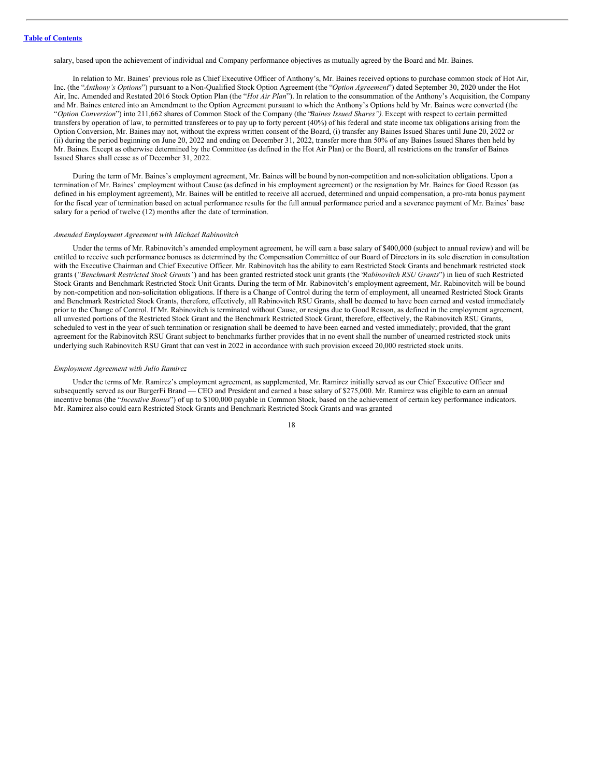salary, based upon the achievement of individual and Company performance objectives as mutually agreed by the Board and Mr. Baines.

In relation to Mr. Baines' previous role as Chief Executive Officer of Anthony's, Mr. Baines received options to purchase common stock of Hot Air, Inc. (the "*Anthony's Options*") pursuant to a Non-Qualified Stock Option Agreement (the "*Option Agreement*") dated September 30, 2020 under the Hot Air, Inc. Amended and Restated 2016 Stock Option Plan (the "*Hot Air Plan*"). In relation to the consummation of the Anthony's Acquisition, the Company and Mr. Baines entered into an Amendment to the Option Agreement pursuant to which the Anthony's Options held by Mr. Baines were converted (the "*Option Conversion*") into 211,662 shares of Common Stock of the Company (the "*Baines Issued Shares").* Except with respect to certain permitted transfers by operation of law, to permitted transferees or to pay up to forty percent (40%) of his federal and state income tax obligations arising from the Option Conversion, Mr. Baines may not, without the express written consent of the Board, (i) transfer any Baines Issued Shares until June 20, 2022 or (ii) during the period beginning on June 20, 2022 and ending on December 31, 2022, transfer more than 50% of any Baines Issued Shares then held by Mr. Baines. Except as otherwise determined by the Committee (as defined in the Hot Air Plan) or the Board, all restrictions on the transfer of Baines Issued Shares shall cease as of December 31, 2022.

During the term of Mr. Baines's employment agreement, Mr. Baines will be bound bynon-competition and non-solicitation obligations. Upon a termination of Mr. Baines' employment without Cause (as defined in his employment agreement) or the resignation by Mr. Baines for Good Reason (as defined in his employment agreement), Mr. Baines will be entitled to receive all accrued, determined and unpaid compensation, a pro-rata bonus payment for the fiscal year of termination based on actual performance results for the full annual performance period and a severance payment of Mr. Baines' base salary for a period of twelve (12) months after the date of termination.

#### *Amended Employment Agreement with Michael Rabinovitch*

Under the terms of Mr. Rabinovitch's amended employment agreement, he will earn a base salary of \$400,000 (subject to annual review) and will be entitled to receive such performance bonuses as determined by the Compensation Committee of our Board of Directors in its sole discretion in consultation with the Executive Chairman and Chief Executive Officer. Mr. Rabinovitch has the ability to earn Restricted Stock Grants and benchmark restricted stock grants (*"Benchmark Restricted Stock Grants"*) and has been granted restricted stock unit grants (the "*Rabinovitch RSU Grants*") in lieu of such Restricted Stock Grants and Benchmark Restricted Stock Unit Grants. During the term of Mr. Rabinovitch's employment agreement, Mr. Rabinovitch will be bound by non-competition and non-solicitation obligations. If there is a Change of Control during the term of employment, all unearned Restricted Stock Grants and Benchmark Restricted Stock Grants, therefore, effectively, all Rabinovitch RSU Grants, shall be deemed to have been earned and vested immediately prior to the Change of Control. If Mr. Rabinovitch is terminated without Cause, or resigns due to Good Reason, as defined in the employment agreement, all unvested portions of the Restricted Stock Grant and the Benchmark Restricted Stock Grant, therefore, effectively, the Rabinovitch RSU Grants, scheduled to vest in the year of such termination or resignation shall be deemed to have been earned and vested immediately; provided, that the grant agreement for the Rabinovitch RSU Grant subject to benchmarks further provides that in no event shall the number of unearned restricted stock units underlying such Rabinovitch RSU Grant that can vest in 2022 in accordance with such provision exceed 20,000 restricted stock units.

#### *Employment Agreement with Julio Ramirez*

Under the terms of Mr. Ramirez's employment agreement, as supplemented, Mr. Ramirez initially served as our Chief Executive Officer and subsequently served as our BurgerFi Brand — CEO and President and earned a base salary of \$275,000. Mr. Ramirez was eligible to earn an annual incentive bonus (the "*Incentive Bonus*") of up to \$100,000 payable in Common Stock, based on the achievement of certain key performance indicators. Mr. Ramirez also could earn Restricted Stock Grants and Benchmark Restricted Stock Grants and was granted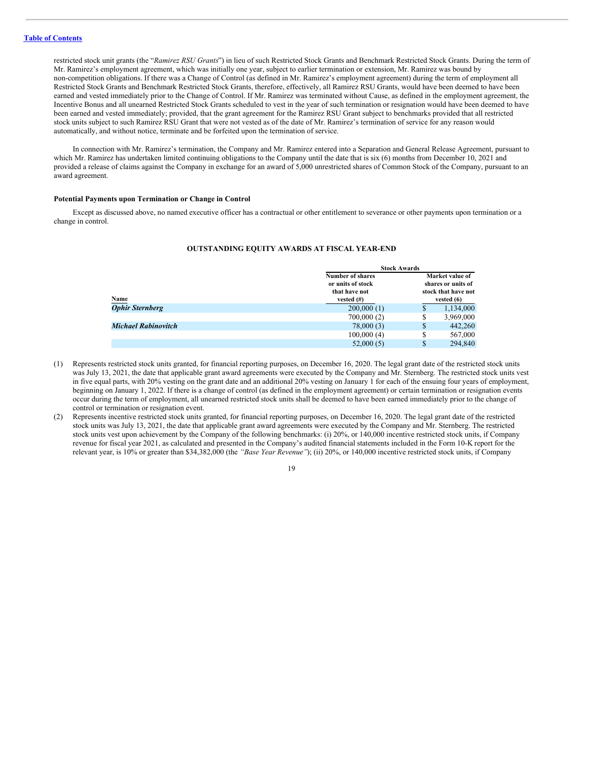restricted stock unit grants (the "*Ramirez RSU Grants*") in lieu of such Restricted Stock Grants and Benchmark Restricted Stock Grants. During the term of Mr. Ramirez's employment agreement, which was initially one year, subject to earlier termination or extension, Mr. Ramirez was bound by non-competition obligations. If there was a Change of Control (as defined in Mr. Ramirez's employment agreement) during the term of employment all Restricted Stock Grants and Benchmark Restricted Stock Grants, therefore, effectively, all Ramirez RSU Grants, would have been deemed to have been earned and vested immediately prior to the Change of Control. If Mr. Ramirez was terminated without Cause, as defined in the employment agreement, the Incentive Bonus and all unearned Restricted Stock Grants scheduled to vest in the year of such termination or resignation would have been deemed to have been earned and vested immediately; provided, that the grant agreement for the Ramirez RSU Grant subject to benchmarks provided that all restricted stock units subject to such Ramirez RSU Grant that were not vested as of the date of Mr. Ramirez's termination of service for any reason would automatically, and without notice, terminate and be forfeited upon the termination of service.

In connection with Mr. Ramirez's termination, the Company and Mr. Ramirez entered into a Separation and General Release Agreement, pursuant to which Mr. Ramirez has undertaken limited continuing obligations to the Company until the date that is six (6) months from December 10, 2021 and provided a release of claims against the Company in exchange for an award of 5,000 unrestricted shares of Common Stock of the Company, pursuant to an award agreement.

## **Potential Payments upon Termination or Change in Control**

Except as discussed above, no named executive officer has a contractual or other entitlement to severance or other payments upon termination or a change in control.

#### **OUTSTANDING EQUITY AWARDS AT FISCAL YEAR-END**

|                        |                   | <b>Stock Awards</b>                                          |              |  |  |
|------------------------|-------------------|--------------------------------------------------------------|--------------|--|--|
|                        | Number of shares  | Market value of<br>shares or units of<br>stock that have not |              |  |  |
|                        | or units of stock |                                                              |              |  |  |
|                        | that have not     |                                                              |              |  |  |
| Name                   | vested $(\#)$     |                                                              | vested $(6)$ |  |  |
| <b>Ophir Sternberg</b> | 200,000(1)        | S                                                            | 1,134,000    |  |  |
|                        | 700,000(2)        | \$                                                           | 3,969,000    |  |  |
| Michael Rabinovitch    | 78,000(3)         | S                                                            | 442,260      |  |  |
|                        | 100,000(4)        | \$                                                           | 567,000      |  |  |
|                        | 52,000(5)         | \$                                                           | 294,840      |  |  |

- (1) Represents restricted stock units granted, for financial reporting purposes, on December 16, 2020. The legal grant date of the restricted stock units was July 13, 2021, the date that applicable grant award agreements were executed by the Company and Mr. Sternberg. The restricted stock units vest in five equal parts, with 20% vesting on the grant date and an additional 20% vesting on January 1 for each of the ensuing four years of employment, beginning on January 1, 2022. If there is a change of control (as defined in the employment agreement) or certain termination or resignation events occur during the term of employment, all unearned restricted stock units shall be deemed to have been earned immediately prior to the change of control or termination or resignation event.
- (2) Represents incentive restricted stock units granted, for financial reporting purposes, on December 16, 2020. The legal grant date of the restricted stock units was July 13, 2021, the date that applicable grant award agreements were executed by the Company and Mr. Sternberg. The restricted stock units vest upon achievement by the Company of the following benchmarks: (i) 20%, or 140,000 incentive restricted stock units, if Company revenue for fiscal year 2021, as calculated and presented in the Company's audited financial statements included in the Form 10-K report for the relevant year, is 10% or greater than \$34,382,000 (the *"Base Year Revenue"*); (ii) 20%, or 140,000 incentive restricted stock units, if Company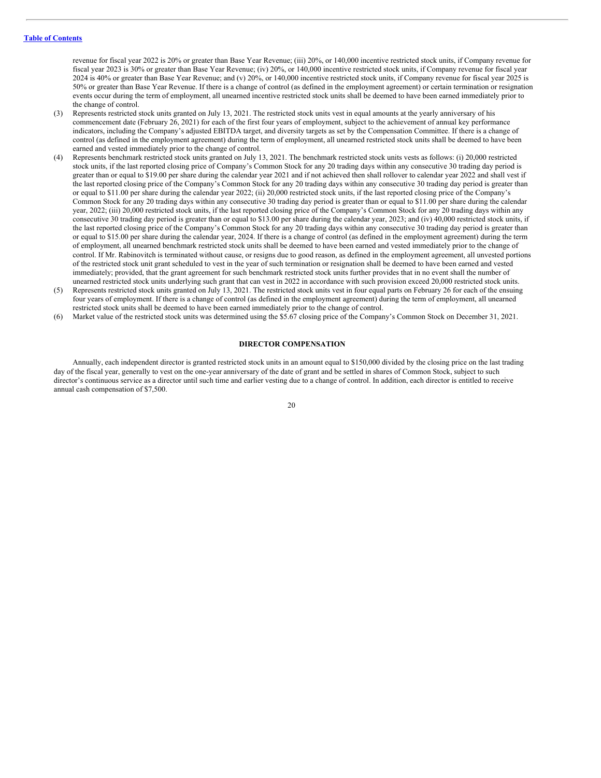revenue for fiscal year 2022 is 20% or greater than Base Year Revenue; (iii) 20%, or 140,000 incentive restricted stock units, if Company revenue for fiscal year 2023 is 30% or greater than Base Year Revenue; (iv) 20%, or 140,000 incentive restricted stock units, if Company revenue for fiscal year 2024 is 40% or greater than Base Year Revenue; and (v) 20%, or 140,000 incentive restricted stock units, if Company revenue for fiscal year 2025 is 50% or greater than Base Year Revenue. If there is a change of control (as defined in the employment agreement) or certain termination or resignation events occur during the term of employment, all unearned incentive restricted stock units shall be deemed to have been earned immediately prior to the change of control.

- (3) Represents restricted stock units granted on July 13, 2021. The restricted stock units vest in equal amounts at the yearly anniversary of his commencement date (February 26, 2021) for each of the first four years of employment, subject to the achievement of annual key performance indicators, including the Company's adjusted EBITDA target, and diversity targets as set by the Compensation Committee. If there is a change of control (as defined in the employment agreement) during the term of employment, all unearned restricted stock units shall be deemed to have been earned and vested immediately prior to the change of control.
- (4) Represents benchmark restricted stock units granted on July 13, 2021. The benchmark restricted stock units vests as follows: (i) 20,000 restricted stock units, if the last reported closing price of Company's Common Stock for any 20 trading days within any consecutive 30 trading day period is greater than or equal to \$19.00 per share during the calendar year 2021 and if not achieved then shall rollover to calendar year 2022 and shall vest if the last reported closing price of the Company's Common Stock for any 20 trading days within any consecutive 30 trading day period is greater than or equal to \$11.00 per share during the calendar year 2022; (ii) 20,000 restricted stock units, if the last reported closing price of the Company's Common Stock for any 20 trading days within any consecutive 30 trading day period is greater than or equal to \$11.00 per share during the calendar year, 2022; (iii) 20,000 restricted stock units, if the last reported closing price of the Company's Common Stock for any 20 trading days within any consecutive 30 trading day period is greater than or equal to \$13.00 per share during the calendar year, 2023; and (iv) 40,000 restricted stock units, if the last reported closing price of the Company's Common Stock for any 20 trading days within any consecutive 30 trading day period is greater than or equal to \$15.00 per share during the calendar year, 2024. If there is a change of control (as defined in the employment agreement) during the term of employment, all unearned benchmark restricted stock units shall be deemed to have been earned and vested immediately prior to the change of control. If Mr. Rabinovitch is terminated without cause, or resigns due to good reason, as defined in the employment agreement, all unvested portions of the restricted stock unit grant scheduled to vest in the year of such termination or resignation shall be deemed to have been earned and vested immediately; provided, that the grant agreement for such benchmark restricted stock units further provides that in no event shall the number of unearned restricted stock units underlying such grant that can vest in 2022 in accordance with such provision exceed 20,000 restricted stock units.
- (5) Represents restricted stock units granted on July 13, 2021. The restricted stock units vest in four equal parts on February 26 for each of the ensuing four years of employment. If there is a change of control (as defined in the employment agreement) during the term of employment, all unearned restricted stock units shall be deemed to have been earned immediately prior to the change of control.
- (6) Market value of the restricted stock units was determined using the \$5.67 closing price of the Company's Common Stock on December 31, 2021.

#### <span id="page-24-0"></span>**DIRECTOR COMPENSATION**

Annually, each independent director is granted restricted stock units in an amount equal to \$150,000 divided by the closing price on the last trading day of the fiscal year, generally to vest on the one-year anniversary of the date of grant and be settled in shares of Common Stock, subject to such director's continuous service as a director until such time and earlier vesting due to a change of control. In addition, each director is entitled to receive annual cash compensation of \$7,500.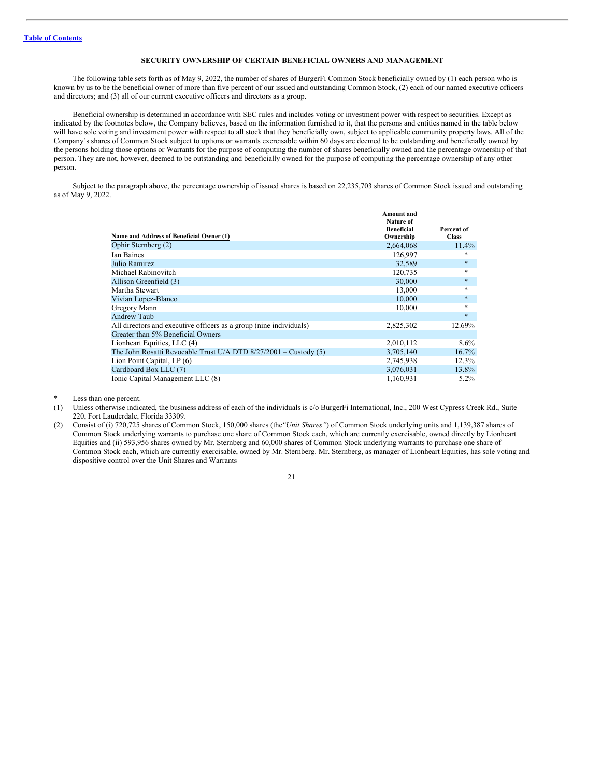## <span id="page-25-0"></span>**SECURITY OWNERSHIP OF CERTAIN BENEFICIAL OWNERS AND MANAGEMENT**

The following table sets forth as of May 9, 2022, the number of shares of BurgerFi Common Stock beneficially owned by (1) each person who is known by us to be the beneficial owner of more than five percent of our issued and outstanding Common Stock, (2) each of our named executive officers and directors; and (3) all of our current executive officers and directors as a group.

Beneficial ownership is determined in accordance with SEC rules and includes voting or investment power with respect to securities. Except as indicated by the footnotes below, the Company believes, based on the information furnished to it, that the persons and entities named in the table below will have sole voting and investment power with respect to all stock that they beneficially own, subject to applicable community property laws. All of the Company's shares of Common Stock subject to options or warrants exercisable within 60 days are deemed to be outstanding and beneficially owned by the persons holding those options or Warrants for the purpose of computing the number of shares beneficially owned and the percentage ownership of that person. They are not, however, deemed to be outstanding and beneficially owned for the purpose of computing the percentage ownership of any other person.

Subject to the paragraph above, the percentage ownership of issued shares is based on 22,235,703 shares of Common Stock issued and outstanding as of May 9, 2022.

|                                                                    | <b>Amount</b> and<br>Nature of |              |
|--------------------------------------------------------------------|--------------------------------|--------------|
|                                                                    | <b>Beneficial</b>              | Percent of   |
| Name and Address of Beneficial Owner (1)                           | Ownership                      | <b>Class</b> |
| Ophir Sternberg (2)                                                | 2,664,068                      | 11.4%        |
| <b>Ian Baines</b>                                                  | 126,997                        | *            |
| Julio Ramirez                                                      | 32,589                         | $\ast$       |
| Michael Rabinovitch                                                | 120,735                        | $\ast$       |
| Allison Greenfield (3)                                             | 30,000                         | $\ast$       |
| Martha Stewart                                                     | 13,000                         | $\ast$       |
| Vivian Lopez-Blanco                                                | 10,000                         | $\ast$       |
| Gregory Mann                                                       | 10,000                         | *            |
| Andrew Taub                                                        |                                | $\ast$       |
| All directors and executive officers as a group (nine individuals) | 2,825,302                      | 12.69%       |
| Greater than 5% Beneficial Owners                                  |                                |              |
| Lionheart Equities, LLC (4)                                        | 2,010,112                      | $8.6\%$      |
| The John Rosatti Revocable Trust U/A DTD $8/27/2001$ – Custody (5) | 3,705,140                      | 16.7%        |
| Lion Point Capital, LP (6)                                         | 2,745,938                      | 12.3%        |
| Cardboard Box LLC (7)                                              | 3,076,031                      | 13.8%        |
| Ionic Capital Management LLC (8)                                   | 1,160,931                      | $5.2\%$      |

Less than one percent.

- (1) Unless otherwise indicated, the business address of each of the individuals is c/o BurgerFi International, Inc., 200 West Cypress Creek Rd., Suite 220, Fort Lauderdale, Florida 33309.
- (2) Consist of (i) 720,725 shares of Common Stock, 150,000 shares (the*"Unit Shares"*) of Common Stock underlying units and 1,139,387 shares of Common Stock underlying warrants to purchase one share of Common Stock each, which are currently exercisable, owned directly by Lionheart Equities and (ii) 593,956 shares owned by Mr. Sternberg and 60,000 shares of Common Stock underlying warrants to purchase one share of Common Stock each, which are currently exercisable, owned by Mr. Sternberg. Mr. Sternberg, as manager of Lionheart Equities, has sole voting and dispositive control over the Unit Shares and Warrants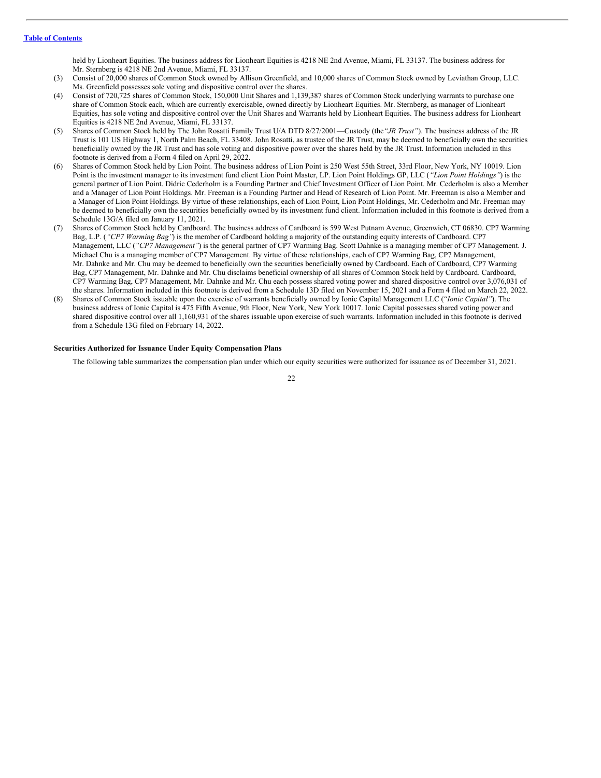held by Lionheart Equities. The business address for Lionheart Equities is 4218 NE 2nd Avenue, Miami, FL 33137. The business address for Mr. Sternberg is 4218 NE 2nd Avenue, Miami, FL 33137.

- (3) Consist of 20,000 shares of Common Stock owned by Allison Greenfield, and 10,000 shares of Common Stock owned by Leviathan Group, LLC. Ms. Greenfield possesses sole voting and dispositive control over the shares.
- (4) Consist of 720,725 shares of Common Stock, 150,000 Unit Shares and 1,139,387 shares of Common Stock underlying warrants to purchase one share of Common Stock each, which are currently exercisable, owned directly by Lionheart Equities. Mr. Sternberg, as manager of Lionheart Equities, has sole voting and dispositive control over the Unit Shares and Warrants held by Lionheart Equities. The business address for Lionheart Equities is 4218 NE 2nd Avenue, Miami, FL 33137.
- (5) Shares of Common Stock held by The John Rosatti Family Trust U/A DTD 8/27/2001—Custody (the*"JR Trust"*). The business address of the JR Trust is 101 US Highway 1, North Palm Beach, FL 33408. John Rosatti, as trustee of the JR Trust, may be deemed to beneficially own the securities beneficially owned by the JR Trust and has sole voting and dispositive power over the shares held by the JR Trust. Information included in this footnote is derived from a Form 4 filed on April 29, 2022.
- (6) Shares of Common Stock held by Lion Point. The business address of Lion Point is 250 West 55th Street, 33rd Floor, New York, NY 10019. Lion Point is the investment manager to its investment fund client Lion Point Master, LP. Lion Point Holdings GP, LLC (*"Lion Point Holdings"*) is the general partner of Lion Point. Didric Cederholm is a Founding Partner and Chief Investment Officer of Lion Point. Mr. Cederholm is also a Member and a Manager of Lion Point Holdings. Mr. Freeman is a Founding Partner and Head of Research of Lion Point. Mr. Freeman is also a Member and a Manager of Lion Point Holdings. By virtue of these relationships, each of Lion Point, Lion Point Holdings, Mr. Cederholm and Mr. Freeman may be deemed to beneficially own the securities beneficially owned by its investment fund client. Information included in this footnote is derived from a Schedule 13G/A filed on January 11, 2021.
- (7) Shares of Common Stock held by Cardboard. The business address of Cardboard is 599 West Putnam Avenue, Greenwich, CT 06830. CP7 Warming Bag, L.P. (*"CP7 Warming Bag"*) is the member of Cardboard holding a majority of the outstanding equity interests of Cardboard. CP7 Management, LLC (*"CP7 Management"*) is the general partner of CP7 Warming Bag. Scott Dahnke is a managing member of CP7 Management. J. Michael Chu is a managing member of CP7 Management. By virtue of these relationships, each of CP7 Warming Bag, CP7 Management, Mr. Dahnke and Mr. Chu may be deemed to beneficially own the securities beneficially owned by Cardboard. Each of Cardboard, CP7 Warming Bag, CP7 Management, Mr. Dahnke and Mr. Chu disclaims beneficial ownership of all shares of Common Stock held by Cardboard. Cardboard, CP7 Warming Bag, CP7 Management, Mr. Dahnke and Mr. Chu each possess shared voting power and shared dispositive control over 3,076,031 of the shares. Information included in this footnote is derived from a Schedule 13D filed on November 15, 2021 and a Form 4 filed on March 22, 2022.
- (8) Shares of Common Stock issuable upon the exercise of warrants beneficially owned by Ionic Capital Management LLC (*"Ionic Capital"*). The business address of Ionic Capital is 475 Fifth Avenue, 9th Floor, New York, New York 10017. Ionic Capital possesses shared voting power and shared dispositive control over all 1,160,931 of the shares issuable upon exercise of such warrants. Information included in this footnote is derived from a Schedule 13G filed on February 14, 2022.

#### **Securities Authorized for Issuance Under Equity Compensation Plans**

The following table summarizes the compensation plan under which our equity securities were authorized for issuance as of December 31, 2021.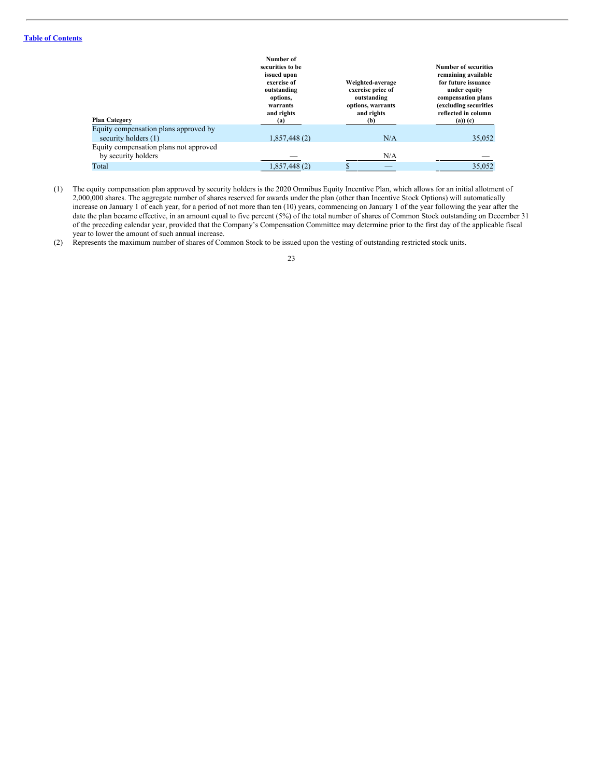|                                                               | Number of<br>securities to be<br>issued upon<br>exercise of<br>outstanding<br>options,<br>warrants<br>and rights | Weighted-average<br>exercise price of<br>outstanding<br>options, warrants<br>and rights | <b>Number of securities</b><br>remaining available<br>for future issuance<br>under equity<br>compensation plans<br>(excluding securities<br>reflected in column |
|---------------------------------------------------------------|------------------------------------------------------------------------------------------------------------------|-----------------------------------------------------------------------------------------|-----------------------------------------------------------------------------------------------------------------------------------------------------------------|
| <b>Plan Category</b>                                          | (a)                                                                                                              | (b)                                                                                     | $(a))$ $(c)$                                                                                                                                                    |
| Equity compensation plans approved by<br>security holders (1) | 1,857,448(2)                                                                                                     | N/A                                                                                     | 35,052                                                                                                                                                          |
| Equity compensation plans not approved<br>by security holders |                                                                                                                  | N/A                                                                                     |                                                                                                                                                                 |
| Total                                                         | 1,857,448 (2)                                                                                                    |                                                                                         | 35,052                                                                                                                                                          |

- (1) The equity compensation plan approved by security holders is the 2020 Omnibus Equity Incentive Plan, which allows for an initial allotment of 2,000,000 shares. The aggregate number of shares reserved for awards under the plan (other than Incentive Stock Options) will automatically increase on January 1 of each year, for a period of not more than ten (10) years, commencing on January 1 of the year following the year after the date the plan became effective, in an amount equal to five percent (5%) of the total number of shares of Common Stock outstanding on December 31 of the preceding calendar year, provided that the Company's Compensation Committee may determine prior to the first day of the applicable fiscal year to lower the amount of such annual increase.
- (2) Represents the maximum number of shares of Common Stock to be issued upon the vesting of outstanding restricted stock units.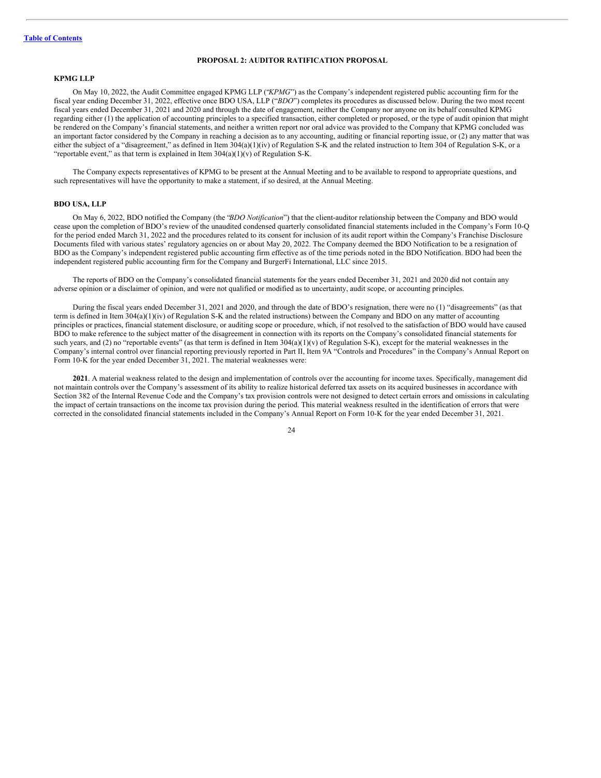## <span id="page-28-0"></span>**PROPOSAL 2: AUDITOR RATIFICATION PROPOSAL**

## **KPMG LLP**

On May 10, 2022, the Audit Committee engaged KPMG LLP ("*KPMG*") as the Company's independent registered public accounting firm for the fiscal year ending December 31, 2022, effective once BDO USA, LLP ("*BDO*") completes its procedures as discussed below. During the two most recent fiscal years ended December 31, 2021 and 2020 and through the date of engagement, neither the Company nor anyone on its behalf consulted KPMG regarding either (1) the application of accounting principles to a specified transaction, either completed or proposed, or the type of audit opinion that might be rendered on the Company's financial statements, and neither a written report nor oral advice was provided to the Company that KPMG concluded was an important factor considered by the Company in reaching a decision as to any accounting, auditing or financial reporting issue, or (2) any matter that was either the subject of a "disagreement," as defined in Item 304(a)(1)(iv) of Regulation S-K and the related instruction to Item 304 of Regulation S-K, or a "reportable event," as that term is explained in Item  $304(a)(1)(v)$  of Regulation S-K.

The Company expects representatives of KPMG to be present at the Annual Meeting and to be available to respond to appropriate questions, and such representatives will have the opportunity to make a statement, if so desired, at the Annual Meeting.

#### **BDO USA, LLP**

On May 6, 2022, BDO notified the Company (the "*BDO Notification*") that the client-auditor relationship between the Company and BDO would cease upon the completion of BDO's review of the unaudited condensed quarterly consolidated financial statements included in the Company's Form 10-Q for the period ended March 31, 2022 and the procedures related to its consent for inclusion of its audit report within the Company's Franchise Disclosure Documents filed with various states' regulatory agencies on or about May 20, 2022. The Company deemed the BDO Notification to be a resignation of BDO as the Company's independent registered public accounting firm effective as of the time periods noted in the BDO Notification. BDO had been the independent registered public accounting firm for the Company and BurgerFi International, LLC since 2015.

The reports of BDO on the Company's consolidated financial statements for the years ended December 31, 2021 and 2020 did not contain any adverse opinion or a disclaimer of opinion, and were not qualified or modified as to uncertainty, audit scope, or accounting principles.

During the fiscal years ended December 31, 2021 and 2020, and through the date of BDO's resignation, there were no (1) "disagreements" (as that term is defined in Item 304(a)(1)(iv) of Regulation S-K and the related instructions) between the Company and BDO on any matter of accounting principles or practices, financial statement disclosure, or auditing scope or procedure, which, if not resolved to the satisfaction of BDO would have caused BDO to make reference to the subject matter of the disagreement in connection with its reports on the Company's consolidated financial statements for such years, and (2) no "reportable events" (as that term is defined in Item  $304(a)(1)(v)$  of Regulation S-K), except for the material weaknesses in the Company's internal control over financial reporting previously reported in Part II, Item 9A "Controls and Procedures" in the Company's Annual Report on Form 10-K for the year ended December 31, 2021. The material weaknesses were:

**2021**. A material weakness related to the design and implementation of controls over the accounting for income taxes. Specifically, management did not maintain controls over the Company's assessment of its ability to realize historical deferred tax assets on its acquired businesses in accordance with Section 382 of the Internal Revenue Code and the Company's tax provision controls were not designed to detect certain errors and omissions in calculating the impact of certain transactions on the income tax provision during the period. This material weakness resulted in the identification of errors that were corrected in the consolidated financial statements included in the Company's Annual Report on Form 10-K for the year ended December 31, 2021.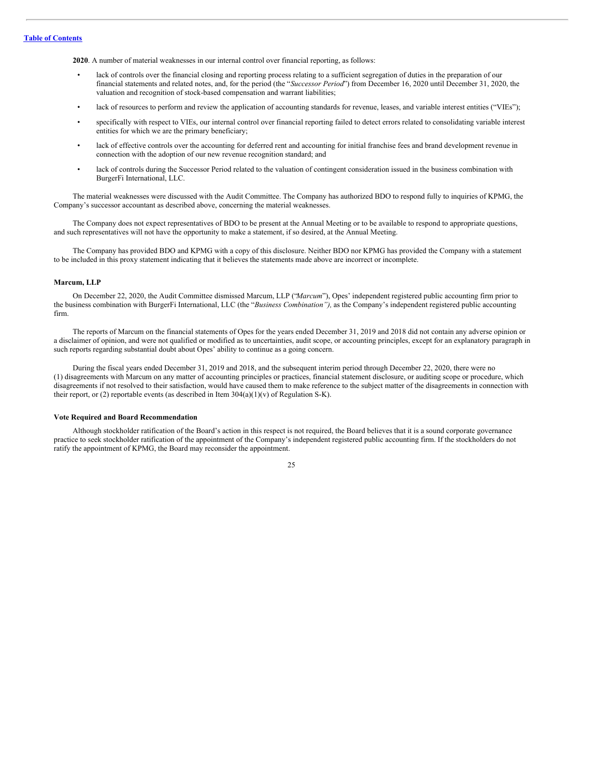**2020**. A number of material weaknesses in our internal control over financial reporting, as follows:

- lack of controls over the financial closing and reporting process relating to a sufficient segregation of duties in the preparation of our financial statements and related notes, and, for the period (the "*Successor Period*") from December 16, 2020 until December 31, 2020, the valuation and recognition of stock-based compensation and warrant liabilities;
- lack of resources to perform and review the application of accounting standards for revenue, leases, and variable interest entities ("VIEs");
- specifically with respect to VIEs, our internal control over financial reporting failed to detect errors related to consolidating variable interest entities for which we are the primary beneficiary;
- lack of effective controls over the accounting for deferred rent and accounting for initial franchise fees and brand development revenue in connection with the adoption of our new revenue recognition standard; and
- lack of controls during the Successor Period related to the valuation of contingent consideration issued in the business combination with BurgerFi International, LLC.

The material weaknesses were discussed with the Audit Committee. The Company has authorized BDO to respond fully to inquiries of KPMG, the Company's successor accountant as described above, concerning the material weaknesses.

The Company does not expect representatives of BDO to be present at the Annual Meeting or to be available to respond to appropriate questions, and such representatives will not have the opportunity to make a statement, if so desired, at the Annual Meeting.

The Company has provided BDO and KPMG with a copy of this disclosure. Neither BDO nor KPMG has provided the Company with a statement to be included in this proxy statement indicating that it believes the statements made above are incorrect or incomplete.

#### **Marcum, LLP**

On December 22, 2020, the Audit Committee dismissed Marcum, LLP ("*Marcum*"), Opes' independent registered public accounting firm prior to the business combination with BurgerFi International, LLC (the "*Business Combination"),* as the Company's independent registered public accounting firm.

The reports of Marcum on the financial statements of Opes for the years ended December 31, 2019 and 2018 did not contain any adverse opinion or a disclaimer of opinion, and were not qualified or modified as to uncertainties, audit scope, or accounting principles, except for an explanatory paragraph in such reports regarding substantial doubt about Opes' ability to continue as a going concern.

During the fiscal years ended December 31, 2019 and 2018, and the subsequent interim period through December 22, 2020, there were no (1) disagreements with Marcum on any matter of accounting principles or practices, financial statement disclosure, or auditing scope or procedure, which disagreements if not resolved to their satisfaction, would have caused them to make reference to the subject matter of the disagreements in connection with their report, or (2) reportable events (as described in Item  $304(a)(1)(v)$  of Regulation S-K).

#### **Vote Required and Board Recommendation**

Although stockholder ratification of the Board's action in this respect is not required, the Board believes that it is a sound corporate governance practice to seek stockholder ratification of the appointment of the Company's independent registered public accounting firm. If the stockholders do not ratify the appointment of KPMG, the Board may reconsider the appointment.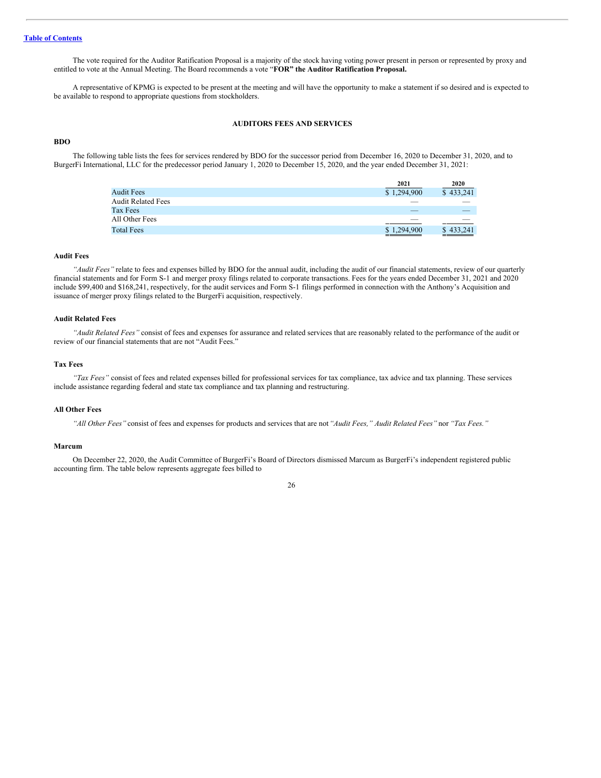The vote required for the Auditor Ratification Proposal is a majority of the stock having voting power present in person or represented by proxy and entitled to vote at the Annual Meeting. The Board recommends a vote "**FOR" the Auditor Ratification Proposal.**

A representative of KPMG is expected to be present at the meeting and will have the opportunity to make a statement if so desired and is expected to be available to respond to appropriate questions from stockholders.

## <span id="page-30-0"></span>**AUDITORS FEES AND SERVICES**

## **BDO**

The following table lists the fees for services rendered by BDO for the successor period from December 16, 2020 to December 31, 2020, and to BurgerFi International, LLC for the predecessor period January 1, 2020 to December 15, 2020, and the year ended December 31, 2021:

|                           | 2021                     | 2020                     |
|---------------------------|--------------------------|--------------------------|
| <b>Audit Fees</b>         | \$1,294,900              | \$433.241                |
| <b>Audit Related Fees</b> | $\frac{1}{2}$            |                          |
| Tax Fees                  | $\overline{\phantom{a}}$ |                          |
| All Other Fees            | $\overline{\phantom{a}}$ | $\overline{\phantom{a}}$ |
| <b>Total Fees</b>         | \$1,294,900              | \$433,241                |
|                           |                          |                          |

#### **Audit Fees**

*"Audit Fees"* relate to fees and expenses billed by BDO for the annual audit, including the audit of our financial statements, review of our quarterly financial statements and for Form S-1 and merger proxy filings related to corporate transactions. Fees for the years ended December 31, 2021 and 2020 include \$99,400 and \$168,241, respectively, for the audit services and Form S-1 filings performed in connection with the Anthony's Acquisition and issuance of merger proxy filings related to the BurgerFi acquisition, respectively.

## **Audit Related Fees**

*"Audit Related Fees"* consist of fees and expenses for assurance and related services that are reasonably related to the performance of the audit or review of our financial statements that are not "Audit Fees."

#### **Tax Fees**

*"Tax Fees"* consist of fees and related expenses billed for professional services for tax compliance, tax advice and tax planning. These services include assistance regarding federal and state tax compliance and tax planning and restructuring.

#### **All Other Fees**

*"All Other Fees"* consist of fees and expenses for products and services that are not*"Audit Fees," Audit Related Fees"* nor *"Tax Fees."*

#### **Marcum**

On December 22, 2020, the Audit Committee of BurgerFi's Board of Directors dismissed Marcum as BurgerFi's independent registered public accounting firm. The table below represents aggregate fees billed to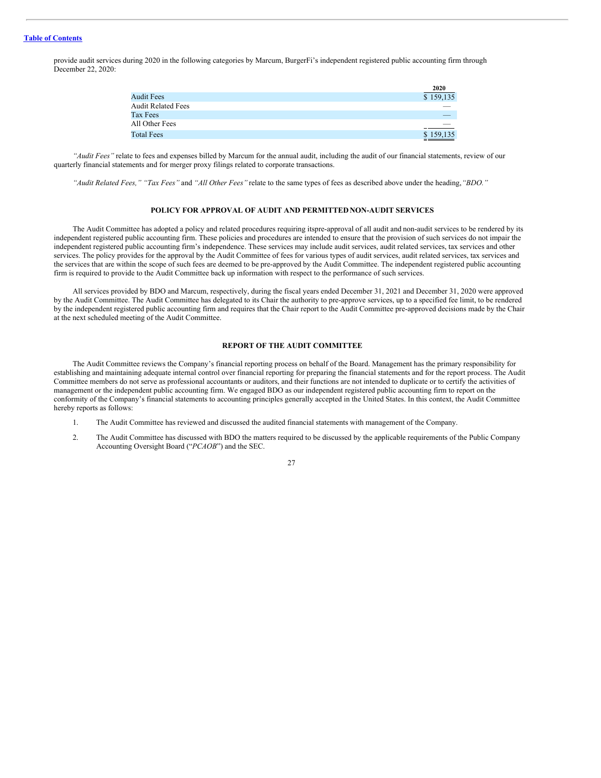## **Table of [Contents](#page-4-0)**

provide audit services during 2020 in the following categories by Marcum, BurgerFi's independent registered public accounting firm through December 22, 2020:

|                           | 2020                     |
|---------------------------|--------------------------|
| <b>Audit Fees</b>         | \$159,135                |
| <b>Audit Related Fees</b> |                          |
| Tax Fees                  |                          |
| All Other Fees            | $\overline{\phantom{a}}$ |
| <b>Total Fees</b>         | \$159,135                |

*"Audit Fees"* relate to fees and expenses billed by Marcum for the annual audit, including the audit of our financial statements, review of our quarterly financial statements and for merger proxy filings related to corporate transactions.

*"Audit Related Fees," "Tax Fees"* and *"All Other Fees"* relate to the same types of fees as described above under the heading,*"BDO."*

## <span id="page-31-0"></span>**POLICY FOR APPROVAL OF AUDIT AND PERMITTED NON-AUDIT SERVICES**

The Audit Committee has adopted a policy and related procedures requiring itspre-approval of all audit and non-audit services to be rendered by its independent registered public accounting firm. These policies and procedures are intended to ensure that the provision of such services do not impair the independent registered public accounting firm's independence. These services may include audit services, audit related services, tax services and other services. The policy provides for the approval by the Audit Committee of fees for various types of audit services, audit related services, tax services and the services that are within the scope of such fees are deemed to be pre-approved by the Audit Committee. The independent registered public accounting firm is required to provide to the Audit Committee back up information with respect to the performance of such services.

All services provided by BDO and Marcum, respectively, during the fiscal years ended December 31, 2021 and December 31, 2020 were approved by the Audit Committee. The Audit Committee has delegated to its Chair the authority to pre-approve services, up to a specified fee limit, to be rendered by the independent registered public accounting firm and requires that the Chair report to the Audit Committee pre-approved decisions made by the Chair at the next scheduled meeting of the Audit Committee.

## <span id="page-31-1"></span>**REPORT OF THE AUDIT COMMITTEE**

The Audit Committee reviews the Company's financial reporting process on behalf of the Board. Management has the primary responsibility for establishing and maintaining adequate internal control over financial reporting for preparing the financial statements and for the report process. The Audit Committee members do not serve as professional accountants or auditors, and their functions are not intended to duplicate or to certify the activities of management or the independent public accounting firm. We engaged BDO as our independent registered public accounting firm to report on the conformity of the Company's financial statements to accounting principles generally accepted in the United States. In this context, the Audit Committee hereby reports as follows:

- 1. The Audit Committee has reviewed and discussed the audited financial statements with management of the Company.
- 2. The Audit Committee has discussed with BDO the matters required to be discussed by the applicable requirements of the Public Company Accounting Oversight Board ("*PCAOB*") and the SEC.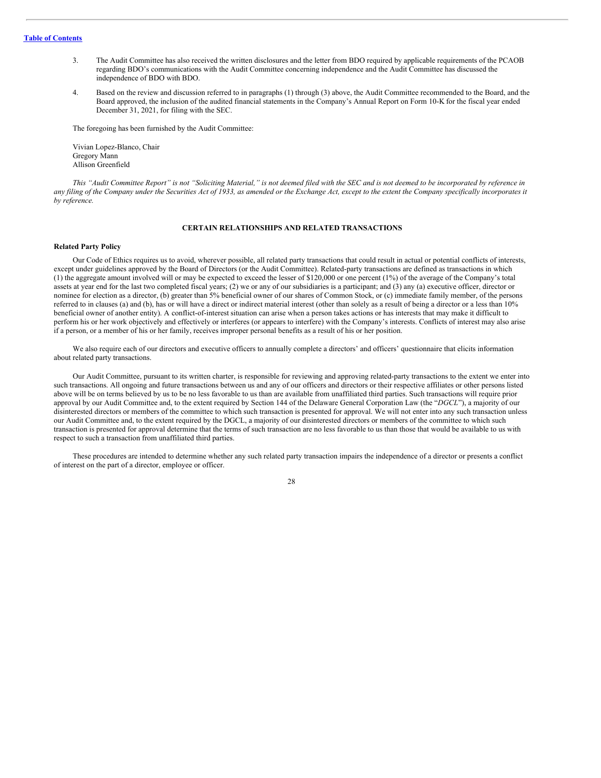- 3. The Audit Committee has also received the written disclosures and the letter from BDO required by applicable requirements of the PCAOB regarding BDO's communications with the Audit Committee concerning independence and the Audit Committee has discussed the independence of BDO with BDO.
- 4. Based on the review and discussion referred to in paragraphs (1) through (3) above, the Audit Committee recommended to the Board, and the Board approved, the inclusion of the audited financial statements in the Company's Annual Report on Form 10-K for the fiscal year ended December 31, 2021, for filing with the SEC.

The foregoing has been furnished by the Audit Committee:

Vivian Lopez-Blanco, Chair Gregory Mann Allison Greenfield

This "Audit Committee Report" is not "Soliciting Material," is not deemed filed with the SEC and is not deemed to be incorporated by reference in any filing of the Company under the Securities Act of 1933, as amended or the Exchange Act, except to the extent the Company specifically incorporates it *by reference.*

## <span id="page-32-0"></span>**CERTAIN RELATIONSHIPS AND RELATED TRANSACTIONS**

## **Related Party Policy**

Our Code of Ethics requires us to avoid, wherever possible, all related party transactions that could result in actual or potential conflicts of interests, except under guidelines approved by the Board of Directors (or the Audit Committee). Related-party transactions are defined as transactions in which (1) the aggregate amount involved will or may be expected to exceed the lesser of \$120,000 or one percent (1%) of the average of the Company's total assets at year end for the last two completed fiscal years; (2) we or any of our subsidiaries is a participant; and (3) any (a) executive officer, director or nominee for election as a director, (b) greater than 5% beneficial owner of our shares of Common Stock, or (c) immediate family member, of the persons referred to in clauses (a) and (b), has or will have a direct or indirect material interest (other than solely as a result of being a director or a less than 10% beneficial owner of another entity). A conflict-of-interest situation can arise when a person takes actions or has interests that may make it difficult to perform his or her work objectively and effectively or interferes (or appears to interfere) with the Company's interests. Conflicts of interest may also arise if a person, or a member of his or her family, receives improper personal benefits as a result of his or her position.

We also require each of our directors and executive officers to annually complete a directors' and officers' questionnaire that elicits information about related party transactions.

Our Audit Committee, pursuant to its written charter, is responsible for reviewing and approving related-party transactions to the extent we enter into such transactions. All ongoing and future transactions between us and any of our officers and directors or their respective affiliates or other persons listed above will be on terms believed by us to be no less favorable to us than are available from unaffiliated third parties. Such transactions will require prior approval by our Audit Committee and, to the extent required by Section 144 of the Delaware General Corporation Law (the "*DGCL*"), a majority of our disinterested directors or members of the committee to which such transaction is presented for approval. We will not enter into any such transaction unless our Audit Committee and, to the extent required by the DGCL, a majority of our disinterested directors or members of the committee to which such transaction is presented for approval determine that the terms of such transaction are no less favorable to us than those that would be available to us with respect to such a transaction from unaffiliated third parties.

These procedures are intended to determine whether any such related party transaction impairs the independence of a director or presents a conflict of interest on the part of a director, employee or officer.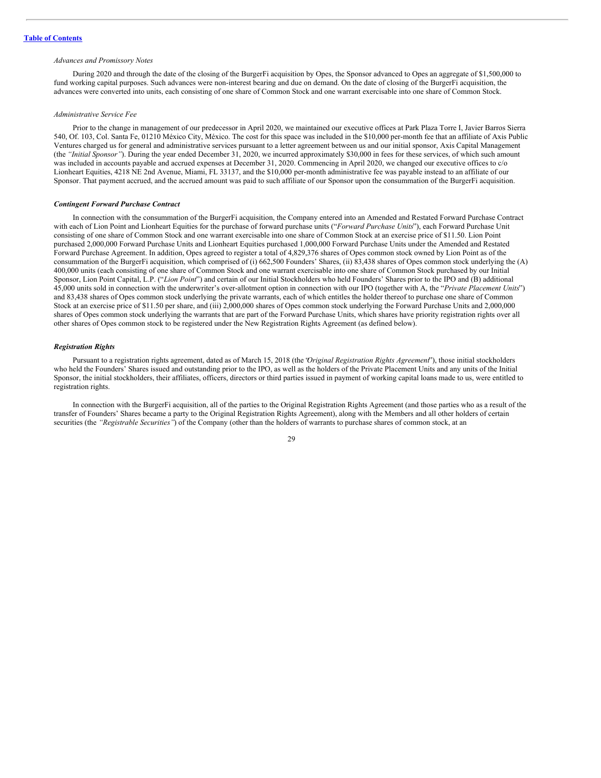#### *Advances and Promissory Notes*

During 2020 and through the date of the closing of the BurgerFi acquisition by Opes, the Sponsor advanced to Opes an aggregate of \$1,500,000 to fund working capital purposes. Such advances were non-interest bearing and due on demand. On the date of closing of the BurgerFi acquisition, the advances were converted into units, each consisting of one share of Common Stock and one warrant exercisable into one share of Common Stock.

#### *Administrative Service Fee*

Prior to the change in management of our predecessor in April 2020, we maintained our executive offices at Park Plaza Torre I, Javier Barros Sierra 540, Of. 103, Col. Santa Fe, 01210 México City, México. The cost for this space was included in the \$10,000 per-month fee that an affiliate of Axis Public Ventures charged us for general and administrative services pursuant to a letter agreement between us and our initial sponsor, Axis Capital Management (the *"Initial Sponsor"*). During the year ended December 31, 2020, we incurred approximately \$30,000 in fees for these services, of which such amount was included in accounts payable and accrued expenses at December 31, 2020. Commencing in April 2020, we changed our executive offices to c/o Lionheart Equities, 4218 NE 2nd Avenue, Miami, FL 33137, and the \$10,000 per-month administrative fee was payable instead to an affiliate of our Sponsor. That payment accrued, and the accrued amount was paid to such affiliate of our Sponsor upon the consummation of the BurgerFi acquisition.

#### *Contingent Forward Purchase Contract*

In connection with the consummation of the BurgerFi acquisition, the Company entered into an Amended and Restated Forward Purchase Contract with each of Lion Point and Lionheart Equities for the purchase of forward purchase units ("*Forward Purchase Units*"), each Forward Purchase Unit consisting of one share of Common Stock and one warrant exercisable into one share of Common Stock at an exercise price of \$11.50. Lion Point purchased 2,000,000 Forward Purchase Units and Lionheart Equities purchased 1,000,000 Forward Purchase Units under the Amended and Restated Forward Purchase Agreement. In addition, Opes agreed to register a total of 4,829,376 shares of Opes common stock owned by Lion Point as of the consummation of the BurgerFi acquisition, which comprised of (i) 662,500 Founders' Shares, (ii) 83,438 shares of Opes common stock underlying the (A) 400,000 units (each consisting of one share of Common Stock and one warrant exercisable into one share of Common Stock purchased by our Initial Sponsor, Lion Point Capital, L.P. ("*Lion Point*") and certain of our Initial Stockholders who held Founders' Shares prior to the IPO and (B) additional 45,000 units sold in connection with the underwriter's over-allotment option in connection with our IPO (together with A, the "*Private Placement Units*") and 83,438 shares of Opes common stock underlying the private warrants, each of which entitles the holder thereof to purchase one share of Common Stock at an exercise price of \$11.50 per share, and (iii) 2,000,000 shares of Opes common stock underlying the Forward Purchase Units and 2,000,000 shares of Opes common stock underlying the warrants that are part of the Forward Purchase Units, which shares have priority registration rights over all other shares of Opes common stock to be registered under the New Registration Rights Agreement (as defined below).

#### *Registration Rights*

Pursuant to a registration rights agreement, dated as of March 15, 2018 (the "*Original Registration Rights Agreement*"), those initial stockholders who held the Founders' Shares issued and outstanding prior to the IPO, as well as the holders of the Private Placement Units and any units of the Initial Sponsor, the initial stockholders, their affiliates, officers, directors or third parties issued in payment of working capital loans made to us, were entitled to registration rights.

In connection with the BurgerFi acquisition, all of the parties to the Original Registration Rights Agreement (and those parties who as a result of the transfer of Founders' Shares became a party to the Original Registration Rights Agreement), along with the Members and all other holders of certain securities (the *"Registrable Securities"*) of the Company (other than the holders of warrants to purchase shares of common stock, at an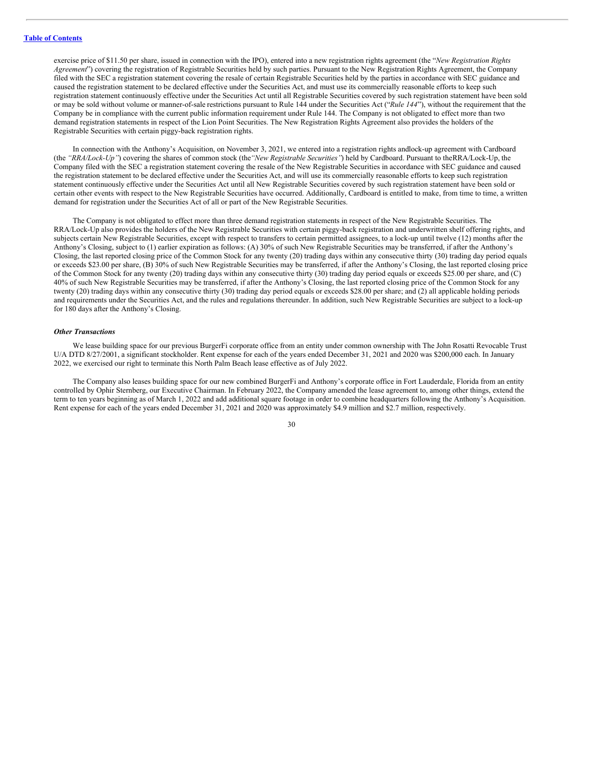exercise price of \$11.50 per share, issued in connection with the IPO), entered into a new registration rights agreement (the "*New Registration Rights Agreement*") covering the registration of Registrable Securities held by such parties. Pursuant to the New Registration Rights Agreement, the Company filed with the SEC a registration statement covering the resale of certain Registrable Securities held by the parties in accordance with SEC guidance and caused the registration statement to be declared effective under the Securities Act, and must use its commercially reasonable efforts to keep such registration statement continuously effective under the Securities Act until all Registrable Securities covered by such registration statement have been sold or may be sold without volume or manner-of-sale restrictions pursuant to Rule 144 under the Securities Act ("*Rule 144*"), without the requirement that the Company be in compliance with the current public information requirement under Rule 144. The Company is not obligated to effect more than two demand registration statements in respect of the Lion Point Securities. The New Registration Rights Agreement also provides the holders of the Registrable Securities with certain piggy-back registration rights.

In connection with the Anthony's Acquisition, on November 3, 2021, we entered into a registration rights andlock-up agreement with Cardboard (the *"RRA/Lock-Up"*) covering the shares of common stock (the*"New Registrable Securities"*) held by Cardboard. Pursuant to theRRA/Lock-Up, the Company filed with the SEC a registration statement covering the resale of the New Registrable Securities in accordance with SEC guidance and caused the registration statement to be declared effective under the Securities Act, and will use its commercially reasonable efforts to keep such registration statement continuously effective under the Securities Act until all New Registrable Securities covered by such registration statement have been sold or certain other events with respect to the New Registrable Securities have occurred. Additionally, Cardboard is entitled to make, from time to time, a written demand for registration under the Securities Act of all or part of the New Registrable Securities.

The Company is not obligated to effect more than three demand registration statements in respect of the New Registrable Securities. The RRA/Lock-Up also provides the holders of the New Registrable Securities with certain piggy-back registration and underwritten shelf offering rights, and subjects certain New Registrable Securities, except with respect to transfers to certain permitted assignees, to a lock-up until twelve (12) months after the Anthony's Closing, subject to (1) earlier expiration as follows: (A) 30% of such New Registrable Securities may be transferred, if after the Anthony's Closing, the last reported closing price of the Common Stock for any twenty (20) trading days within any consecutive thirty (30) trading day period equals or exceeds \$23.00 per share, (B) 30% of such New Registrable Securities may be transferred, if after the Anthony's Closing, the last reported closing price of the Common Stock for any twenty (20) trading days within any consecutive thirty (30) trading day period equals or exceeds \$25.00 per share, and (C) 40% of such New Registrable Securities may be transferred, if after the Anthony's Closing, the last reported closing price of the Common Stock for any twenty (20) trading days within any consecutive thirty (30) trading day period equals or exceeds \$28.00 per share; and (2) all applicable holding periods and requirements under the Securities Act, and the rules and regulations thereunder. In addition, such New Registrable Securities are subject to a lock-up for 180 days after the Anthony's Closing.

#### *Other Transactions*

We lease building space for our previous BurgerFi corporate office from an entity under common ownership with The John Rosatti Revocable Trust U/A DTD 8/27/2001, a significant stockholder. Rent expense for each of the years ended December 31, 2021 and 2020 was \$200,000 each. In January 2022, we exercised our right to terminate this North Palm Beach lease effective as of July 2022.

The Company also leases building space for our new combined BurgerFi and Anthony's corporate office in Fort Lauderdale, Florida from an entity controlled by Ophir Sternberg, our Executive Chairman. In February 2022, the Company amended the lease agreement to, among other things, extend the term to ten years beginning as of March 1, 2022 and add additional square footage in order to combine headquarters following the Anthony's Acquisition. Rent expense for each of the years ended December 31, 2021 and 2020 was approximately \$4.9 million and \$2.7 million, respectively.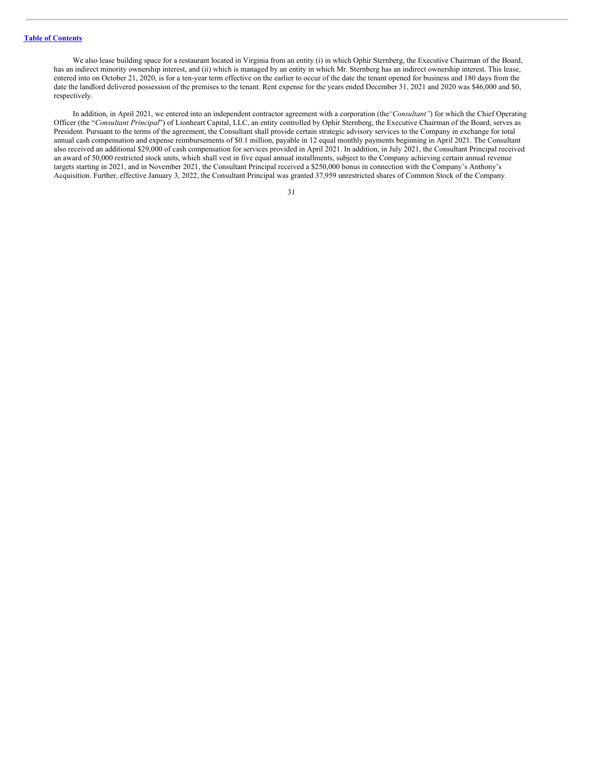We also lease building space for a restaurant located in Virginia from an entity (i) in which Ophir Sternberg, the Executive Chairman of the Board, has an indirect minority ownership interest, and (ii) which is managed by an entity in which Mr. Sternberg has an indirect ownership interest. This lease, entered into on October 21, 2020, is for a ten-year term effective on the earlier to occur of the date the tenant opened for business and 180 days from the date the landlord delivered possession of the premises to the tenant. Rent expense for the years ended December 31, 2021 and 2020 was \$46,000 and \$0, respectively.

In addition, in April 2021, we entered into an independent contractor agreement with a corporation (the*"Consultant"*) for which the Chief Operating Officer (the "*Consultant Principal*") of Lionheart Capital, LLC, an entity controlled by Ophir Sternberg, the Executive Chairman of the Board, serves as President. Pursuant to the terms of the agreement, the Consultant shall provide certain strategic advisory services to the Company in exchange for total annual cash compensation and expense reimbursements of \$0.1 million, payable in 12 equal monthly payments beginning in April 2021. The Consultant also received an additional \$29,000 of cash compensation for services provided in April 2021. In addition, in July 2021, the Consultant Principal received an award of 50,000 restricted stock units, which shall vest in five equal annual installments, subject to the Company achieving certain annual revenue targets starting in 2021, and in November 2021, the Consultant Principal received a \$250,000 bonus in connection with the Company's Anthony's Acquisition. Further, effective January 3, 2022, the Consultant Principal was granted 37,959 unrestricted shares of Common Stock of the Company.

| ۰,<br>I<br>× |  |
|--------------|--|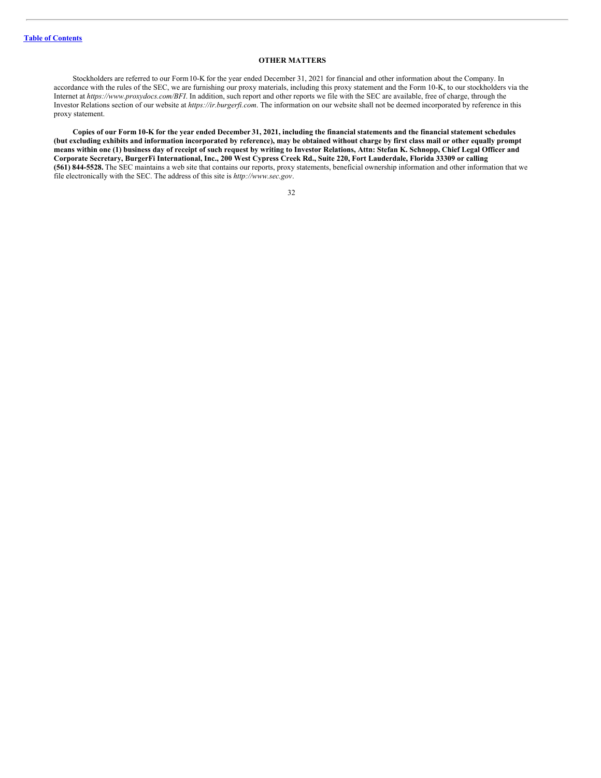## <span id="page-36-0"></span>**OTHER MATTERS**

Stockholders are referred to our Form10-K for the year ended December 31, 2021 for financial and other information about the Company. In accordance with the rules of the SEC, we are furnishing our proxy materials, including this proxy statement and the Form 10-K, to our stockholders via the Internet at *https://www.proxydocs.com/BFI*. In addition, such report and other reports we file with the SEC are available, free of charge, through the Investor Relations section of our website at *https://ir.burgerfi.com*. The information on our website shall not be deemed incorporated by reference in this proxy statement.

Copies of our Form 10-K for the year ended December 31, 2021, including the financial statements and the financial statement schedules (but excluding exhibits and information incorporated by reference), may be obtained without charge by first class mail or other equally prompt means within one (1) business day of receipt of such request by writing to Investor Relations, Attn: Stefan K. Schnopp, Chief Legal Officer and Corporate Secretary, BurgerFi International, Inc., 200 West Cypress Creek Rd., Suite 220, Fort Lauderdale, Florida 33309 or calling **(561) 844-5528.** The SEC maintains a web site that contains our reports, proxy statements, beneficial ownership information and other information that we file electronically with the SEC. The address of this site is *http://www.sec.gov*.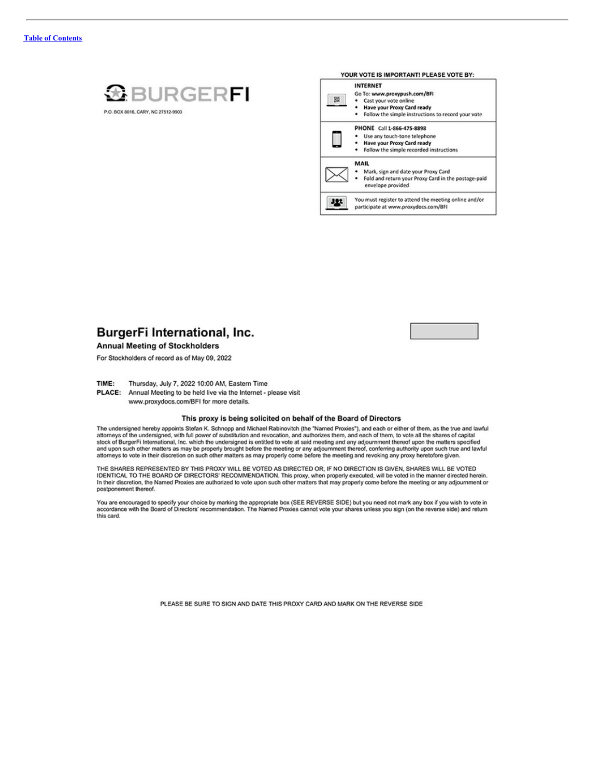

P.O. BOX 8016, CARY, NC 27512-9903

|   | <b>INTERNET</b>                                                          |
|---|--------------------------------------------------------------------------|
|   | Go To: www.proxypush.com/BFI                                             |
| 曌 | Cast your vote online                                                    |
|   | Have your Proxy Card ready                                               |
|   | Follow the simple instructions to record your vote                       |
|   | PHONE Call 1-866-475-8898                                                |
|   | Use any touch-tone telephone                                             |
|   | Have your Proxy Card ready                                               |
|   | Follow the simple recorded instructions<br>٠                             |
|   | <b>MAIL</b>                                                              |
|   | Mark, sign and date your Proxy Card                                      |
|   | Fold and return your Proxy Card in the postage-paid<br>envelope provided |
|   | You must register to attend the meeting online and/or                    |



**Annual Meeting of Stockholders** 

For Stockholders of record as of May 09, 2022

TIME: Thursday, July 7, 2022 10:00 AM, Eastern Time

PLACE: Annual Meeting to be held live via the Internet - please visit

www.proxydocs.com/BFI for more details.

#### This proxy is being solicited on behalf of the Board of Directors

The undersigned hereby appoints Stefan K. Schnopp and Michael Rabinovitch (the "Named Proxies"), and each or either of them, as the true and lawful The undersigned, with full power of substitution and revocation, and authorizes them, and each of them, to vote all the shares of capital<br>stock of BurgerFi International, Inc. which the undersigned is entitled to vote at s

THE SHARES REPRESENTED BY THIS PROXY WILL BE VOTED AS DIRECTED OR, IF NO DIRECTION IS GIVEN, SHARES WILL BE VOTED<br>IDENTICAL TO THE BOARD OF DIRECTORS' RECOMMENDATION. This proxy, when properly executed, will be voted in th postponement thereof.

You are encouraged to specify your choice by marking the appropriate box (SEE REVERSE SIDE) but you need not mark any box if you wish to vote in<br>accordance with the Board of Directors' recommendation. The Named Proxies can this card.

PLEASE BE SURE TO SIGN AND DATE THIS PROXY CARD AND MARK ON THE REVERSE SIDE